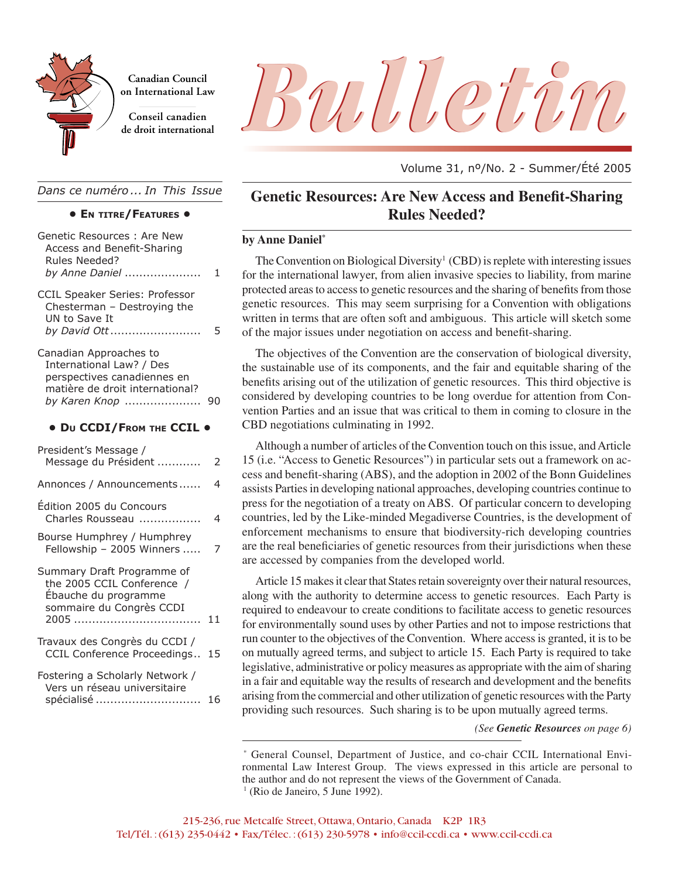

**Canadian Council on International Law**

**Conseil canadien**

*Dans ce numéro ... In This Issue*

|  |  |  | • EN TITRE/FEATURES . |  |
|--|--|--|-----------------------|--|
|--|--|--|-----------------------|--|

| Genetic Resources: Are New<br>Access and Benefit-Sharing<br>Rules Needed?<br>by Anne Daniel                                                                        | 1              | by An<br>Th<br>for th                                  |
|--------------------------------------------------------------------------------------------------------------------------------------------------------------------|----------------|--------------------------------------------------------|
| CCIL Speaker Series: Professor<br>Chesterman - Destroying the<br>UN to Save It<br>by David Ott                                                                     | 5              | proted<br>genet<br>writte<br>of the                    |
| Canadian Approaches to<br>International Law? / Des<br>perspectives canadiennes en<br>matière de droit international?<br>by Karen Knop<br>• DU CCDI/FROM THE CCIL . | 90             | Th<br>the su<br>benef<br>consi<br>ventio<br><b>CBD</b> |
| President's Message /                                                                                                                                              |                | Al <sub>1</sub>                                        |
| Message du Président                                                                                                                                               | 2              | 15(i.                                                  |
| Annonces / Announcements                                                                                                                                           | $\overline{4}$ | cess a<br>assist                                       |
| Édition 2005 du Concours<br>Charles Rousseau                                                                                                                       | 4              | press<br>count                                         |
| Bourse Humphrey / Humphrey<br>Fellowship - 2005 Winners                                                                                                            | 7              | enfor<br>are th                                        |
| Summary Draft Programme of<br>the 2005 CCIL Conference /<br>Ébauche du programme<br>sommaire du Congrès CCDI                                                       | 11             | are ac<br>Ar<br>along<br>requir<br>for en              |
| Travaux des Congrès du CCDI /<br>CCIL Conference Proceedings                                                                                                       | 15             | run co<br>on mu                                        |
| Fostering a Scholarly Network /<br>Vers un réseau universitaire                                                                                                    |                | legisla<br>in a fa<br>$\cdots$                         |

| <u>veis un reseau universitaire</u> |            |    |
|-------------------------------------|------------|----|
|                                     | spécialisé | 16 |



Volume 31, nº/No. 2 - Summer/Été 2005

# **Genetic Resources: Are New Access and Benefit-Sharing Rules Needed?**

#### **by Anne Daniel\***

The Convention on Biological Diversity<sup>1</sup> (CBD) is replete with interesting issues for the international lawyer, from alien invasive species to liability, from marine protected areas to access to genetic resources and the sharing of benefits from those genetic resources. This may seem surprising for a Convention with obligations written in terms that are often soft and ambiguous. This article will sketch some of the major issues under negotiation on access and benefit-sharing.

The objectives of the Convention are the conservation of biological diversity, the sustainable use of its components, and the fair and equitable sharing of the benefits arising out of the utilization of genetic resources. This third objective is considered by developing countries to be long overdue for attention from Convention Parties and an issue that was critical to them in coming to closure in the **CBD** negotiations culminating in 1992.

Although a number of articles of the Convention touch on this issue, and Article 15 (i.e. "Access to Genetic Resources") in particular sets out a framework on access and benefit-sharing (ABS), and the adoption in 2002 of the Bonn Guidelines ements ...... 4 assists Parties in developing national approaches, developing countries continue to press for the negotiation of a treaty on ABS. Of particular concern to developing countries, led by the Like-minded Megadiverse Countries, is the development of **on International Law** enforcement mechanisms to ensure that biodiversity-rich developing countries are the real beneficiaries of genetic resources from their jurisdictions when these are accessed by companies from the developed world.

> Article 15 makes it clear that States retain sovereignty over their natural resources, along with the authority to determine access to genetic resources. Each Party is required to endeavour to create conditions to facilitate access to genetic resources for environmentally sound uses by other Parties and not to impose restrictions that run counter to the objectives of the Convention. Where access is granted, it is to be on mutually agreed terms, and subject to article 15. Each Party is required to take legislative, administrative or policy measures as appropriate with the aim of sharing in a fair and equitable way the results of research and development and the benefits arising from the commercial and other utilization of genetic resources with the Party providing such resources. Such sharing is to be upon mutually agreed terms.

> > *(See Genetic Resources on page 6)*

<sup>\*</sup> General Counsel, Department of Justice, and co-chair CCIL International Environmental Law Interest Group. The views expressed in this article are personal to the author and do not represent the views of the Government of Canada.  $<sup>1</sup>$  (Rio de Janeiro, 5 June 1992).</sup>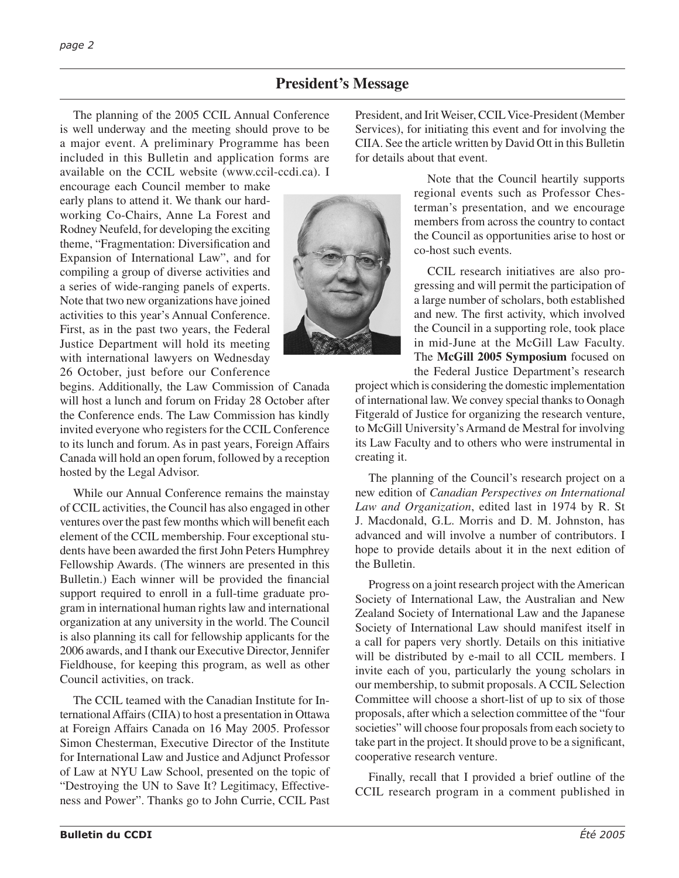# **President's Message**

The planning of the 2005 CCIL Annual Conference is well underway and the meeting should prove to be a major event. A preliminary Programme has been included in this Bulletin and application forms are available on the CCIL website (www.ccil-ccdi.ca). I

encourage each Council member to make early plans to attend it. We thank our hardworking Co-Chairs, Anne La Forest and Rodney Neufeld, for developing the exciting theme, "Fragmentation: Diversification and Expansion of International Law", and for compiling a group of diverse activities and a series of wide-ranging panels of experts. Note that two new organizations have joined activities to this year's Annual Conference. First, as in the past two years, the Federal Justice Department will hold its meeting with international lawyers on Wednesday 26 October, just before our Conference

begins. Additionally, the Law Commission of Canada will host a lunch and forum on Friday 28 October after the Conference ends. The Law Commission has kindly invited everyone who registers for the CCIL Conference to its lunch and forum. As in past years, Foreign Affairs Canada will hold an open forum, followed by a reception hosted by the Legal Advisor.

While our Annual Conference remains the mainstay of CCIL activities, the Council has also engaged in other ventures over the past few months which will benefit each element of the CCIL membership. Four exceptional students have been awarded the first John Peters Humphrey Fellowship Awards. (The winners are presented in this Bulletin.) Each winner will be provided the financial support required to enroll in a full-time graduate program in international human rights law and international organization at any university in the world. The Council is also planning its call for fellowship applicants for the 2006 awards, and I thank our Executive Director, Jennifer Fieldhouse, for keeping this program, as well as other Council activities, on track.

The CCIL teamed with the Canadian Institute for International Affairs (CIIA) to host a presentation in Ottawa at Foreign Affairs Canada on 16 May 2005. Professor Simon Chesterman, Executive Director of the Institute for International Law and Justice and Adjunct Professor of Law at NYU Law School, presented on the topic of "Destroying the UN to Save It? Legitimacy, Effectiveness and Power". Thanks go to John Currie, CCIL Past President, and Irit Weiser, CCIL Vice-President (Member Services), for initiating this event and for involving the CIIA. See the article written by David Ott in this Bulletin for details about that event.

> Note that the Council heartily supports regional events such as Professor Chesterman's presentation, and we encourage members from across the country to contact the Council as opportunities arise to host or co-host such events.

> CCIL research initiatives are also progressing and will permit the participation of a large number of scholars, both established and new. The first activity, which involved the Council in a supporting role, took place in mid-June at the McGill Law Faculty. The **McGill 2005 Symposium** focused on the Federal Justice Department's research

project which is considering the domestic implementation of international law. We convey special thanks to Oonagh Fitgerald of Justice for organizing the research venture, to McGill University's Armand de Mestral for involving its Law Faculty and to others who were instrumental in creating it.

The planning of the Council's research project on a new edition of *Canadian Perspectives on International Law and Organization*, edited last in 1974 by R. St J. Macdonald, G.L. Morris and D. M. Johnston, has advanced and will involve a number of contributors. I hope to provide details about it in the next edition of the Bulletin.

Progress on a joint research project with the American Society of International Law, the Australian and New Zealand Society of International Law and the Japanese Society of International Law should manifest itself in a call for papers very shortly. Details on this initiative will be distributed by e-mail to all CCIL members. I invite each of you, particularly the young scholars in our membership, to submit proposals. A CCIL Selection Committee will choose a short-list of up to six of those proposals, after which a selection committee of the "four societies" will choose four proposals from each society to take part in the project. It should prove to be a significant, cooperative research venture.

Finally, recall that I provided a brief outline of the CCIL research program in a comment published in

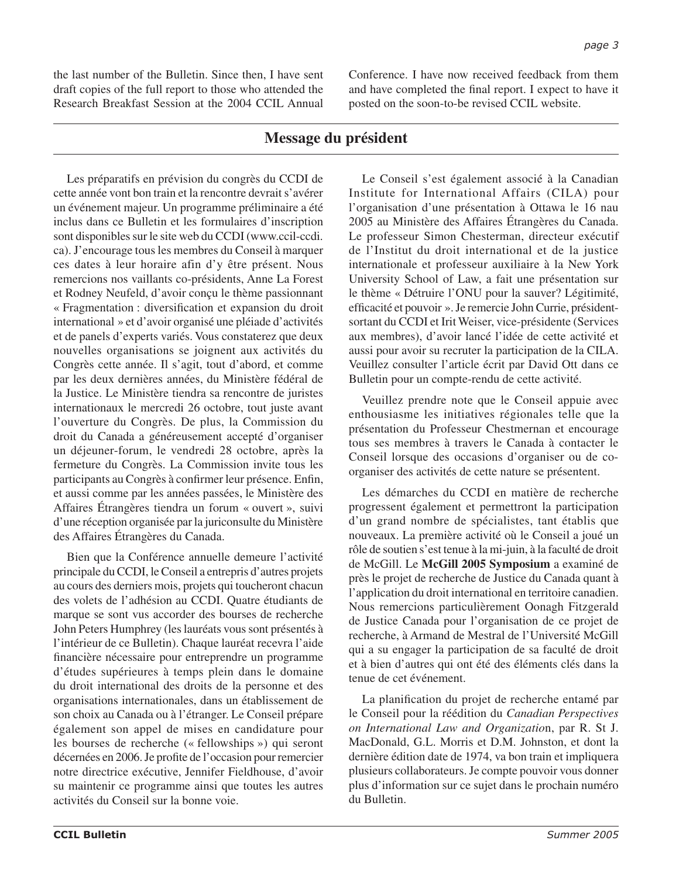the last number of the Bulletin. Since then, I have sent draft copies of the full report to those who attended the Research Breakfast Session at the 2004 CCIL Annual Conference. I have now received feedback from them and have completed the final report. I expect to have it posted on the soon-to-be revised CCIL website.

# **Message du président**

Les préparatifs en prévision du congrès du CCDI de cette année vont bon train et la rencontre devrait s'avérer un événement majeur. Un programme préliminaire a été inclus dans ce Bulletin et les formulaires d'inscription sont disponibles sur le site web du CCDI (www.ccil-ccdi. ca). J'encourage tous les membres du Conseil à marquer ces dates à leur horaire afin d'y être présent. Nous remercions nos vaillants co-présidents, Anne La Forest et Rodney Neufeld, d'avoir conçu le thème passionnant « Fragmentation : diversification et expansion du droit international » et d'avoir organisé une pléiade d'activités et de panels d'experts variés. Vous constaterez que deux nouvelles organisations se joignent aux activités du Congrès cette année. Il s'agit, tout d'abord, et comme par les deux dernières années, du Ministère fédéral de la Justice. Le Ministère tiendra sa rencontre de juristes internationaux le mercredi 26 octobre, tout juste avant l'ouverture du Congrès. De plus, la Commission du droit du Canada a généreusement accepté d'organiser un déjeuner-forum, le vendredi 28 octobre, après la fermeture du Congrès. La Commission invite tous les participants au Congrès à confirmer leur présence. Enfin, et aussi comme par les années passées, le Ministère des Affaires Étrangères tiendra un forum « ouvert », suivi d'une réception organisée par la juriconsulte du Ministère des Affaires Étrangères du Canada.

Bien que la Conférence annuelle demeure l'activité principale du CCDI, le Conseil a entrepris d'autres projets au cours des derniers mois, projets qui toucheront chacun des volets de l'adhésion au CCDI. Quatre étudiants de marque se sont vus accorder des bourses de recherche John Peters Humphrey (les lauréats vous sont présentés à l'intérieur de ce Bulletin). Chaque lauréat recevra l'aide financière nécessaire pour entreprendre un programme d'études supérieures à temps plein dans le domaine du droit international des droits de la personne et des organisations internationales, dans un établissement de son choix au Canada ou à l'étranger. Le Conseil prépare également son appel de mises en candidature pour les bourses de recherche (« fellowships ») qui seront décernées en 2006. Je profite de l'occasion pour remercier notre directrice exécutive, Jennifer Fieldhouse, d'avoir su maintenir ce programme ainsi que toutes les autres activités du Conseil sur la bonne voie.

Le Conseil s'est également associé à la Canadian Institute for International Affairs (CILA) pour l'organisation d'une présentation à Ottawa le 16 nau 2005 au Ministère des Affaires Étrangères du Canada. Le professeur Simon Chesterman, directeur exécutif de l'Institut du droit international et de la justice internationale et professeur auxiliaire à la New York University School of Law, a fait une présentation sur le thème « Détruire l'ONU pour la sauver? Légitimité, efficacité et pouvoir ». Je remercie John Currie, présidentsortant du CCDI et Irit Weiser, vice-présidente (Services aux membres), d'avoir lancé l'idée de cette activité et aussi pour avoir su recruter la participation de la CILA. Veuillez consulter l'article écrit par David Ott dans ce Bulletin pour un compte-rendu de cette activité.

Veuillez prendre note que le Conseil appuie avec enthousiasme les initiatives régionales telle que la présentation du Professeur Chestmernan et encourage tous ses membres à travers le Canada à contacter le Conseil lorsque des occasions d'organiser ou de coorganiser des activités de cette nature se présentent.

Les démarches du CCDI en matière de recherche progressent également et permettront la participation d'un grand nombre de spécialistes, tant établis que nouveaux. La première activité où le Conseil a joué un rôle de soutien s'est tenue à la mi-juin, à la faculté de droit de McGill. Le **McGill 2005 Symposium** a examiné de près le projet de recherche de Justice du Canada quant à l'application du droit international en territoire canadien. Nous remercions particulièrement Oonagh Fitzgerald de Justice Canada pour l'organisation de ce projet de recherche, à Armand de Mestral de l'Université McGill qui a su engager la participation de sa faculté de droit et à bien d'autres qui ont été des éléments clés dans la tenue de cet événement.

La planification du projet de recherche entamé par le Conseil pour la réédition du *Canadian Perspectives on International Law and Organizatio*n, par R. St J. MacDonald, G.L. Morris et D.M. Johnston, et dont la dernière édition date de 1974, va bon train et impliquera plusieurs collaborateurs. Je compte pouvoir vous donner plus d'information sur ce sujet dans le prochain numéro du Bulletin.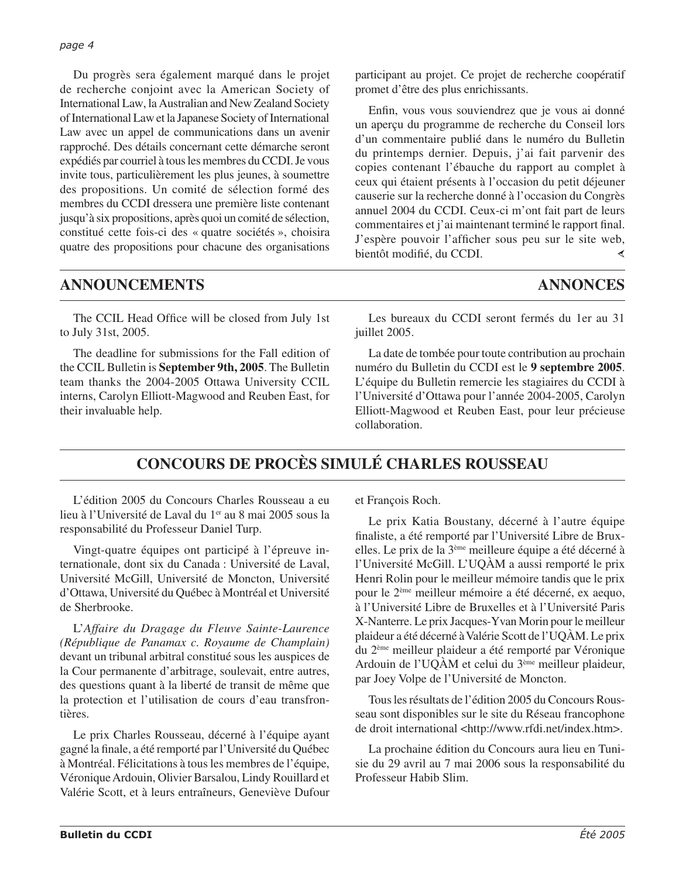Du progrès sera également marqué dans le projet de recherche conjoint avec la American Society of International Law, la Australian and New Zealand Society of International Law et la Japanese Society of International Law avec un appel de communications dans un avenir rapproché. Des détails concernant cette démarche seront expédiés par courriel à tous les membres du CCDI. Je vous invite tous, particulièrement les plus jeunes, à soumettre des propositions. Un comité de sélection formé des membres du CCDI dressera une première liste contenant jusqu'à six propositions, après quoi un comité de sélection, constitué cette fois-ci des « quatre sociétés », choisira quatre des propositions pour chacune des organisations

participant au projet. Ce projet de recherche coopératif promet d'être des plus enrichissants.

Enfin, vous vous souviendrez que je vous ai donné un aperçu du programme de recherche du Conseil lors d'un commentaire publié dans le numéro du Bulletin du printemps dernier. Depuis, j'ai fait parvenir des copies contenant l'ébauche du rapport au complet à ceux qui étaient présents à l'occasion du petit déjeuner causerie sur la recherche donné à l'occasion du Congrès annuel 2004 du CCDI. Ceux-ci m'ont fait part de leurs commentaires et j'ai maintenant terminé le rapport final. J'espère pouvoir l'afficher sous peu sur le site web, bientôt modifié, du CCDI. ∢

# **ANNOUNCEMENTS ANNONCES**

The CCIL Head Office will be closed from July 1st to July 31st, 2005.

The deadline for submissions for the Fall edition of the CCIL Bulletin is **September 9th, 2005**. The Bulletin team thanks the 2004-2005 Ottawa University CCIL interns, Carolyn Elliott-Magwood and Reuben East, for their invaluable help.

Les bureaux du CCDI seront fermés du 1er au 31 juillet 2005.

La date de tombée pour toute contribution au prochain numéro du Bulletin du CCDI est le **9 septembre 2005**. L'équipe du Bulletin remercie les stagiaires du CCDI à l'Université d'Ottawa pour l'année 2004-2005, Carolyn Elliott-Magwood et Reuben East, pour leur précieuse collaboration.

# **CONCOURS DE PROCÈS SIMULÉ CHARLES ROUSSEAU**

L'édition 2005 du Concours Charles Rousseau a eu lieu à l'Université de Laval du 1<sup>er</sup> au 8 mai 2005 sous la responsabilité du Professeur Daniel Turp.

Vingt-quatre équipes ont participé à l'épreuve internationale, dont six du Canada : Université de Laval, Université McGill, Université de Moncton, Université d'Ottawa, Université du Québec à Montréal et Université de Sherbrooke.

L'*Affaire du Dragage du Fleuve Sainte-Laurence (République de Panamax c. Royaume de Champlain)* devant un tribunal arbitral constitué sous les auspices de la Cour permanente d'arbitrage, soulevait, entre autres, des questions quant à la liberté de transit de même que la protection et l'utilisation de cours d'eau transfrontières.

Le prix Charles Rousseau, décerné à l'équipe ayant gagné la finale, a été remporté par l'Université du Québec à Montréal. Félicitations à tous les membres de l'équipe, Véronique Ardouin, Olivier Barsalou, Lindy Rouillard et Valérie Scott, et à leurs entraîneurs, Geneviève Dufour

et François Roch.

Le prix Katia Boustany, décerné à l'autre équipe finaliste, a été remporté par l'Université Libre de Bruxelles. Le prix de la 3ème meilleure équipe a été décerné à l'Université McGill. L'UQÀM a aussi remporté le prix Henri Rolin pour le meilleur mémoire tandis que le prix pour le 2ème meilleur mémoire a été décerné, ex aequo, à l'Université Libre de Bruxelles et à l'Université Paris X-Nanterre. Le prix Jacques-Yvan Morin pour le meilleur plaideur a été décerné à Valérie Scott de l'UQÀM. Le prix du 2ème meilleur plaideur a été remporté par Véronique Ardouin de l'UQÀM et celui du 3ème meilleur plaideur, par Joey Volpe de l'Université de Moncton.

Tous les résultats de l'édition 2005 du Concours Rousseau sont disponibles sur le site du Réseau francophone de droit international <http://www.rfdi.net/index.htm>.

La prochaine édition du Concours aura lieu en Tunisie du 29 avril au 7 mai 2006 sous la responsabilité du Professeur Habib Slim.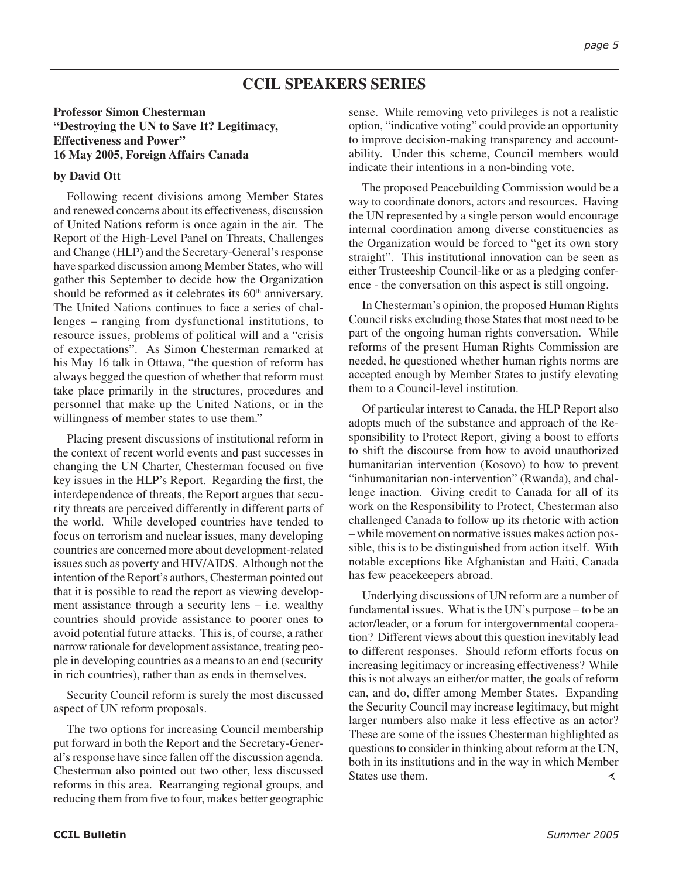# **CCIL SPEAKERS SERIES**

#### **Professor Simon Chesterman "Destroying the UN to Save It? Legitimacy, Effectiveness and Power" 16 May 2005, Foreign Affairs Canada**

#### **by David Ott**

Following recent divisions among Member States and renewed concerns about its effectiveness, discussion of United Nations reform is once again in the air. The Report of the High-Level Panel on Threats, Challenges and Change (HLP) and the Secretary-General's response have sparked discussion among Member States, who will gather this September to decide how the Organization should be reformed as it celebrates its 60<sup>th</sup> anniversary. The United Nations continues to face a series of challenges – ranging from dysfunctional institutions, to resource issues, problems of political will and a "crisis of expectations". As Simon Chesterman remarked at his May 16 talk in Ottawa, "the question of reform has always begged the question of whether that reform must take place primarily in the structures, procedures and personnel that make up the United Nations, or in the willingness of member states to use them."

Placing present discussions of institutional reform in the context of recent world events and past successes in changing the UN Charter, Chesterman focused on five key issues in the HLP's Report. Regarding the first, the interdependence of threats, the Report argues that security threats are perceived differently in different parts of the world. While developed countries have tended to focus on terrorism and nuclear issues, many developing countries are concerned more about development-related issues such as poverty and HIV/AIDS. Although not the intention of the Report's authors, Chesterman pointed out that it is possible to read the report as viewing development assistance through a security lens – i.e. wealthy countries should provide assistance to poorer ones to avoid potential future attacks. This is, of course, a rather narrow rationale for development assistance, treating people in developing countries as a means to an end (security in rich countries), rather than as ends in themselves.

Security Council reform is surely the most discussed aspect of UN reform proposals.

The two options for increasing Council membership put forward in both the Report and the Secretary-General's response have since fallen off the discussion agenda. Chesterman also pointed out two other, less discussed reforms in this area. Rearranging regional groups, and reducing them from five to four, makes better geographic

sense. While removing veto privileges is not a realistic option, "indicative voting" could provide an opportunity to improve decision-making transparency and accountability. Under this scheme, Council members would indicate their intentions in a non-binding vote.

The proposed Peacebuilding Commission would be a way to coordinate donors, actors and resources. Having the UN represented by a single person would encourage internal coordination among diverse constituencies as the Organization would be forced to "get its own story straight". This institutional innovation can be seen as either Trusteeship Council-like or as a pledging conference - the conversation on this aspect is still ongoing.

In Chesterman's opinion, the proposed Human Rights Council risks excluding those States that most need to be part of the ongoing human rights conversation. While reforms of the present Human Rights Commission are needed, he questioned whether human rights norms are accepted enough by Member States to justify elevating them to a Council-level institution.

Of particular interest to Canada, the HLP Report also adopts much of the substance and approach of the Responsibility to Protect Report, giving a boost to efforts to shift the discourse from how to avoid unauthorized humanitarian intervention (Kosovo) to how to prevent "inhumanitarian non-intervention" (Rwanda), and challenge inaction. Giving credit to Canada for all of its work on the Responsibility to Protect, Chesterman also challenged Canada to follow up its rhetoric with action – while movement on normative issues makes action possible, this is to be distinguished from action itself. With notable exceptions like Afghanistan and Haiti, Canada has few peacekeepers abroad.

Underlying discussions of UN reform are a number of fundamental issues. What is the UN's purpose – to be an actor/leader, or a forum for intergovernmental cooperation? Different views about this question inevitably lead to different responses. Should reform efforts focus on increasing legitimacy or increasing effectiveness? While this is not always an either/or matter, the goals of reform can, and do, differ among Member States. Expanding the Security Council may increase legitimacy, but might larger numbers also make it less effective as an actor? These are some of the issues Chesterman highlighted as questions to consider in thinking about reform at the UN, both in its institutions and in the way in which Member States use them.≺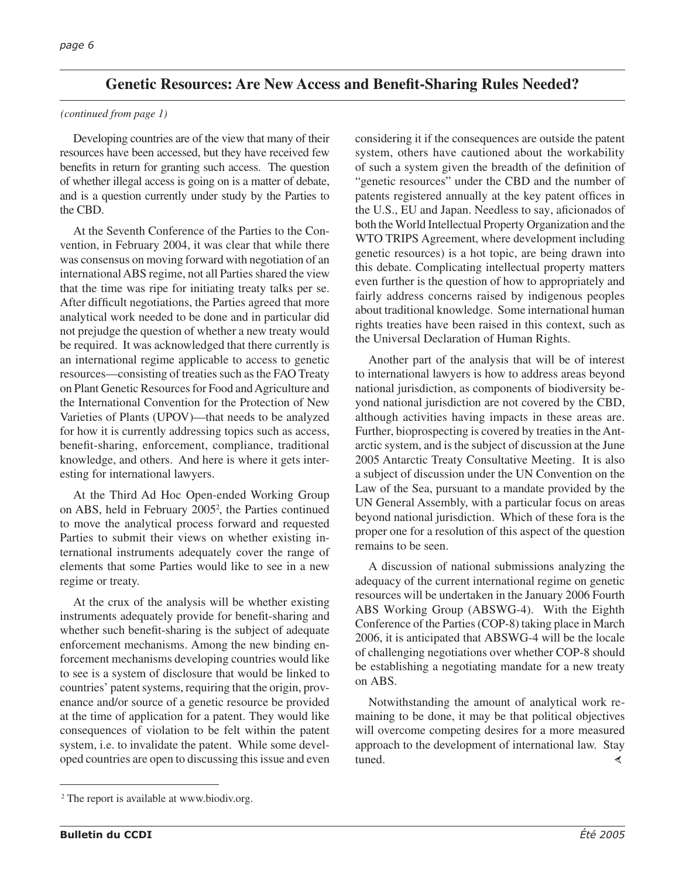# **Genetic Resources: Are New Access and Benefit-Sharing Rules Needed?**

#### *(continued from page 1)*

Developing countries are of the view that many of their resources have been accessed, but they have received few benefits in return for granting such access. The question of whether illegal access is going on is a matter of debate, and is a question currently under study by the Parties to the CBD.

At the Seventh Conference of the Parties to the Convention, in February 2004, it was clear that while there was consensus on moving forward with negotiation of an international ABS regime, not all Parties shared the view that the time was ripe for initiating treaty talks per se. After difficult negotiations, the Parties agreed that more analytical work needed to be done and in particular did not prejudge the question of whether a new treaty would be required. It was acknowledged that there currently is an international regime applicable to access to genetic resources—consisting of treaties such as the FAO Treaty on Plant Genetic Resources for Food and Agriculture and the International Convention for the Protection of New Varieties of Plants (UPOV)—that needs to be analyzed for how it is currently addressing topics such as access, benefit-sharing, enforcement, compliance, traditional knowledge, and others. And here is where it gets interesting for international lawyers.

At the Third Ad Hoc Open-ended Working Group on ABS, held in February 20052 , the Parties continued to move the analytical process forward and requested Parties to submit their views on whether existing international instruments adequately cover the range of elements that some Parties would like to see in a new regime or treaty.

At the crux of the analysis will be whether existing instruments adequately provide for benefit-sharing and whether such benefit-sharing is the subject of adequate enforcement mechanisms. Among the new binding enforcement mechanisms developing countries would like to see is a system of disclosure that would be linked to countries' patent systems, requiring that the origin, provenance and/or source of a genetic resource be provided at the time of application for a patent. They would like consequences of violation to be felt within the patent system, i.e. to invalidate the patent. While some developed countries are open to discussing this issue and even

considering it if the consequences are outside the patent system, others have cautioned about the workability of such a system given the breadth of the definition of "genetic resources" under the CBD and the number of patents registered annually at the key patent offices in the U.S., EU and Japan. Needless to say, aficionados of both the World Intellectual Property Organization and the WTO TRIPS Agreement, where development including genetic resources) is a hot topic, are being drawn into this debate. Complicating intellectual property matters even further is the question of how to appropriately and fairly address concerns raised by indigenous peoples about traditional knowledge. Some international human rights treaties have been raised in this context, such as the Universal Declaration of Human Rights.

Another part of the analysis that will be of interest to international lawyers is how to address areas beyond national jurisdiction, as components of biodiversity beyond national jurisdiction are not covered by the CBD, although activities having impacts in these areas are. Further, bioprospecting is covered by treaties in the Antarctic system, and is the subject of discussion at the June 2005 Antarctic Treaty Consultative Meeting. It is also a subject of discussion under the UN Convention on the Law of the Sea, pursuant to a mandate provided by the UN General Assembly, with a particular focus on areas beyond national jurisdiction. Which of these fora is the proper one for a resolution of this aspect of the question remains to be seen.

A discussion of national submissions analyzing the adequacy of the current international regime on genetic resources will be undertaken in the January 2006 Fourth ABS Working Group (ABSWG-4). With the Eighth Conference of the Parties (COP-8) taking place in March 2006, it is anticipated that ABSWG-4 will be the locale of challenging negotiations over whether COP-8 should be establishing a negotiating mandate for a new treaty on ABS.

Notwithstanding the amount of analytical work remaining to be done, it may be that political objectives will overcome competing desires for a more measured approach to the development of international law. Stay tuned. ≺

<sup>2</sup> The report is available at www.biodiv.org.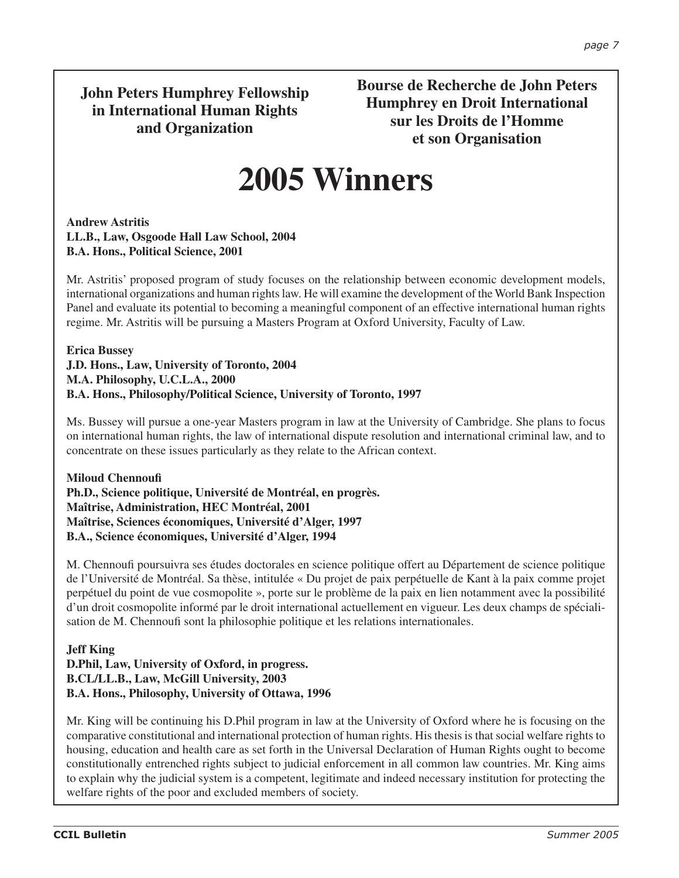# **John Peters Humphrey Fellowship in International Human Rights and Organization**

**Bourse de Recherche de John Peters Humphrey en Droit International sur les Droits de l'Homme et son Organisation**

# **2005 Winners**

**Andrew Astritis LL.B., Law, Osgoode Hall Law School, 2004 B.A. Hons., Political Science, 2001**

Mr. Astritis' proposed program of study focuses on the relationship between economic development models, international organizations and human rights law. He will examine the development of the World Bank Inspection Panel and evaluate its potential to becoming a meaningful component of an effective international human rights regime. Mr. Astritis will be pursuing a Masters Program at Oxford University, Faculty of Law.

#### **Erica Bussey J.D. Hons., Law, University of Toronto, 2004 M.A. Philosophy, U.C.L.A., 2000 B.A. Hons., Philosophy/Political Science, University of Toronto, 1997**

Ms. Bussey will pursue a one-year Masters program in law at the University of Cambridge. She plans to focus on international human rights, the law of international dispute resolution and international criminal law, and to concentrate on these issues particularly as they relate to the African context.

**Miloud Chennoufi Ph.D., Science politique, Université de Montréal, en progrès. Maîtrise, Administration, HEC Montréal, 2001 Maîtrise, Sciences économiques, Université d'Alger, 1997 B.A., Science économiques, Université d'Alger, 1994**

M. Chennoufi poursuivra ses études doctorales en science politique offert au Département de science politique de l'Université de Montréal. Sa thèse, intitulée « Du projet de paix perpétuelle de Kant à la paix comme projet perpétuel du point de vue cosmopolite », porte sur le problème de la paix en lien notamment avec la possibilité d'un droit cosmopolite informé par le droit international actuellement en vigueur. Les deux champs de spécialisation de M. Chennoufi sont la philosophie politique et les relations internationales.

## **Jeff King D.Phil, Law, University of Oxford, in progress. B.CL/LL.B., Law, McGill University, 2003 B.A. Hons., Philosophy, University of Ottawa, 1996**

Mr. King will be continuing his D.Phil program in law at the University of Oxford where he is focusing on the comparative constitutional and international protection of human rights. His thesis is that social welfare rights to housing, education and health care as set forth in the Universal Declaration of Human Rights ought to become constitutionally entrenched rights subject to judicial enforcement in all common law countries. Mr. King aims to explain why the judicial system is a competent, legitimate and indeed necessary institution for protecting the welfare rights of the poor and excluded members of society.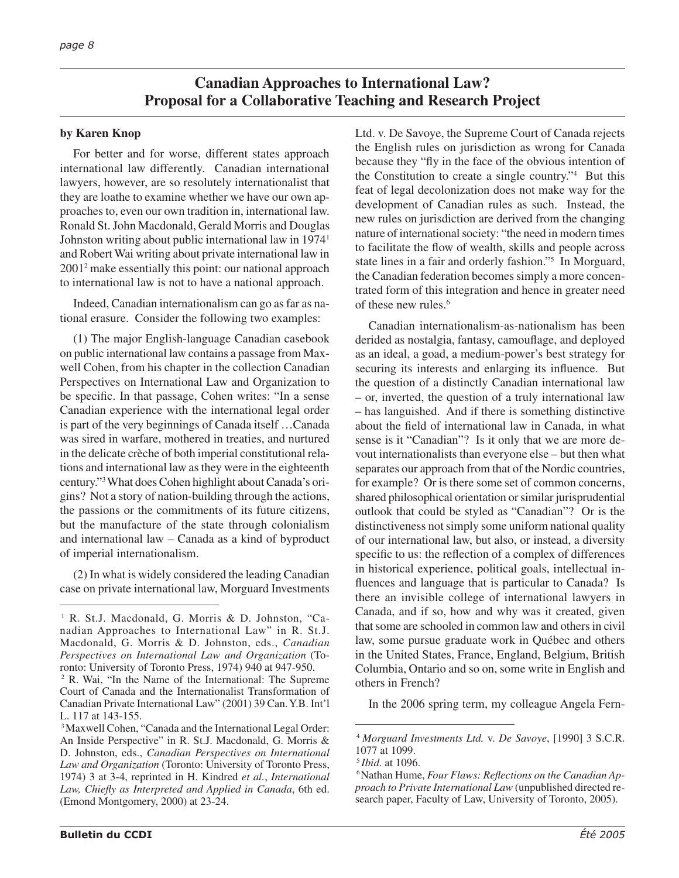# **Canadian Approaches to International Law? Proposal for a Collaborative Teaching and Research Project**

#### **by Karen Knop**

For better and for worse, different states approach international law differently. Canadian international lawyers, however, are so resolutely internationalist that they are loathe to examine whether we have our own approaches to, even our own tradition in, international law. Ronald St. John Macdonald, Gerald Morris and Douglas Johnston writing about public international law in 19741 and Robert Wai writing about private international law in 20012 make essentially this point: our national approach to international law is not to have a national approach.

Indeed, Canadian internationalism can go as far as national erasure. Consider the following two examples:

(1) The major English-language Canadian casebook on public international law contains a passage from Maxwell Cohen, from his chapter in the collection Canadian Perspectives on International Law and Organization to be specific. In that passage, Cohen writes: "In a sense Canadian experience with the international legal order is part of the very beginnings of Canada itself …Canada was sired in warfare, mothered in treaties, and nurtured in the delicate crèche of both imperial constitutional relations and international law as they were in the eighteenth century."3 What does Cohen highlight about Canada's origins? Not a story of nation-building through the actions, the passions or the commitments of its future citizens, but the manufacture of the state through colonialism and international law – Canada as a kind of byproduct of imperial internationalism.

(2) In what is widely considered the leading Canadian case on private international law, Morguard Investments Ltd. v. De Savoye, the Supreme Court of Canada rejects the English rules on jurisdiction as wrong for Canada because they "fly in the face of the obvious intention of the Constitution to create a single country."4 But this feat of legal decolonization does not make way for the development of Canadian rules as such. Instead, the new rules on jurisdiction are derived from the changing nature of international society: "the need in modern times to facilitate the flow of wealth, skills and people across state lines in a fair and orderly fashion."5 In Morguard, the Canadian federation becomes simply a more concentrated form of this integration and hence in greater need of these new rules.6

Canadian internationalism-as-nationalism has been derided as nostalgia, fantasy, camouflage, and deployed as an ideal, a goad, a medium-power's best strategy for securing its interests and enlarging its influence. But the question of a distinctly Canadian international law – or, inverted, the question of a truly international law – has languished. And if there is something distinctive about the field of international law in Canada, in what sense is it "Canadian"? Is it only that we are more devout internationalists than everyone else – but then what separates our approach from that of the Nordic countries, for example? Or is there some set of common concerns, shared philosophical orientation or similar jurisprudential outlook that could be styled as "Canadian"? Or is the distinctiveness not simply some uniform national quality of our international law, but also, or instead, a diversity specific to us: the reflection of a complex of differences in historical experience, political goals, intellectual influences and language that is particular to Canada? Is there an invisible college of international lawyers in Canada, and if so, how and why was it created, given that some are schooled in common law and others in civil law, some pursue graduate work in Québec and others in the United States, France, England, Belgium, British Columbia, Ontario and so on, some write in English and others in French?

In the 2006 spring term, my colleague Angela Fern-

<sup>&</sup>lt;sup>1</sup> R. St.J. Macdonald, G. Morris & D. Johnston, "Canadian Approaches to International Law" in R. St.J. Macdonald, G. Morris & D. Johnston, eds., *Canadian Perspectives on International Law and Organization* (Toronto: University of Toronto Press, 1974) 940 at 947-950.

<sup>2</sup> R. Wai, "In the Name of the International: The Supreme Court of Canada and the Internationalist Transformation of Canadian Private International Law" (2001) 39 Can. Y.B. Int'l L. 117 at 143-155.

<sup>3</sup> Maxwell Cohen, "Canada and the International Legal Order: An Inside Perspective" in R. St.J. Macdonald, G. Morris & D. Johnston, eds., *Canadian Perspectives on International Law and Organization* (Toronto: University of Toronto Press, 1974) 3 at 3-4, reprinted in H. Kindred *et al.*, *International Law, Chiefly as Interpreted and Applied in Canada*, 6th ed. (Emond Montgomery, 2000) at 23-24.

<sup>4</sup>*Morguard Investments Ltd.* v. *De Savoye*, [1990] 3 S.C.R. 1077 at 1099.

<sup>&</sup>lt;sup>5</sup> Ibid. at 1096.<br><sup>6</sup> Nathan Hume, *Four Flaws: Reflections on the Canadian Approach to Private International Law* (unpublished directed research paper, Faculty of Law, University of Toronto, 2005).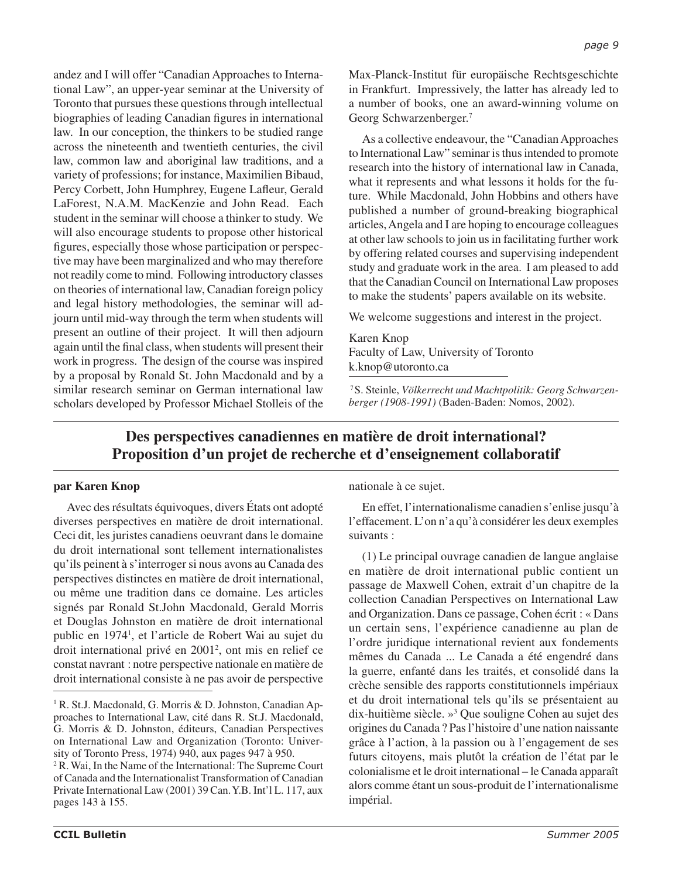andez and I will offer "Canadian Approaches to International Law", an upper-year seminar at the University of Toronto that pursues these questions through intellectual biographies of leading Canadian figures in international law. In our conception, the thinkers to be studied range across the nineteenth and twentieth centuries, the civil law, common law and aboriginal law traditions, and a variety of professions; for instance, Maximilien Bibaud, Percy Corbett, John Humphrey, Eugene Lafleur, Gerald LaForest, N.A.M. MacKenzie and John Read. Each student in the seminar will choose a thinker to study. We will also encourage students to propose other historical figures, especially those whose participation or perspective may have been marginalized and who may therefore not readily come to mind. Following introductory classes on theories of international law, Canadian foreign policy and legal history methodologies, the seminar will adjourn until mid-way through the term when students will present an outline of their project. It will then adjourn again until the final class, when students will present their work in progress. The design of the course was inspired by a proposal by Ronald St. John Macdonald and by a similar research seminar on German international law scholars developed by Professor Michael Stolleis of the

Max-Planck-Institut für europäische Rechtsgeschichte in Frankfurt. Impressively, the latter has already led to a number of books, one an award-winning volume on Georg Schwarzenberger.7

As a collective endeavour, the "Canadian Approaches to International Law" seminar is thus intended to promote research into the history of international law in Canada, what it represents and what lessons it holds for the future. While Macdonald, John Hobbins and others have published a number of ground-breaking biographical articles, Angela and I are hoping to encourage colleagues at other law schools to join us in facilitating further work by offering related courses and supervising independent study and graduate work in the area. I am pleased to add that the Canadian Council on International Law proposes to make the students' papers available on its website.

We welcome suggestions and interest in the project.

Karen Knop Faculty of Law, University of Toronto k.knop@utoronto.ca

7 S. Steinle, *Völkerrecht und Machtpolitik: Georg Schwarzenberger (1908-1991)* (Baden-Baden: Nomos, 2002).

# **Des perspectives canadiennes en matière de droit international? Proposition d'un projet de recherche et d'enseignement collaboratif**

#### **par Karen Knop**

Avec des résultats équivoques, divers États ont adopté diverses perspectives en matière de droit international. Ceci dit, les juristes canadiens oeuvrant dans le domaine du droit international sont tellement internationalistes qu'ils peinent à s'interroger si nous avons au Canada des perspectives distinctes en matière de droit international, ou même une tradition dans ce domaine. Les articles signés par Ronald St.John Macdonald, Gerald Morris et Douglas Johnston en matière de droit international public en 19741 , et l'article de Robert Wai au sujet du droit international privé en 20012 , ont mis en relief ce constat navrant : notre perspective nationale en matière de droit international consiste à ne pas avoir de perspective

nationale à ce sujet.

En effet, l'internationalisme canadien s'enlise jusqu'à l'effacement. L'on n'a qu'à considérer les deux exemples suivants :

(1) Le principal ouvrage canadien de langue anglaise en matière de droit international public contient un passage de Maxwell Cohen, extrait d'un chapitre de la collection Canadian Perspectives on International Law and Organization. Dans ce passage, Cohen écrit : « Dans un certain sens, l'expérience canadienne au plan de l'ordre juridique international revient aux fondements mêmes du Canada ... Le Canada a été engendré dans la guerre, enfanté dans les traités, et consolidé dans la crèche sensible des rapports constitutionnels impériaux et du droit international tels qu'ils se présentaient au dix-huitième siècle. »3 Que souligne Cohen au sujet des origines du Canada ? Pas l'histoire d'une nation naissante grâce à l'action, à la passion ou à l'engagement de ses futurs citoyens, mais plutôt la création de l'état par le colonialisme et le droit international – le Canada apparaît alors comme étant un sous-produit de l'internationalisme impérial.

<sup>&</sup>lt;sup>1</sup> R. St.J. Macdonald, G. Morris & D. Johnston, Canadian Approaches to International Law, cité dans R. St.J. Macdonald, G. Morris & D. Johnston, éditeurs, Canadian Perspectives on International Law and Organization (Toronto: University of Toronto Press, 1974) 940, aux pages 947 à 950.

<sup>&</sup>lt;sup>2</sup> R. Wai, In the Name of the International: The Supreme Court of Canada and the Internationalist Transformation of Canadian Private International Law (2001) 39 Can. Y.B. Int'l L. 117, aux pages 143 à 155.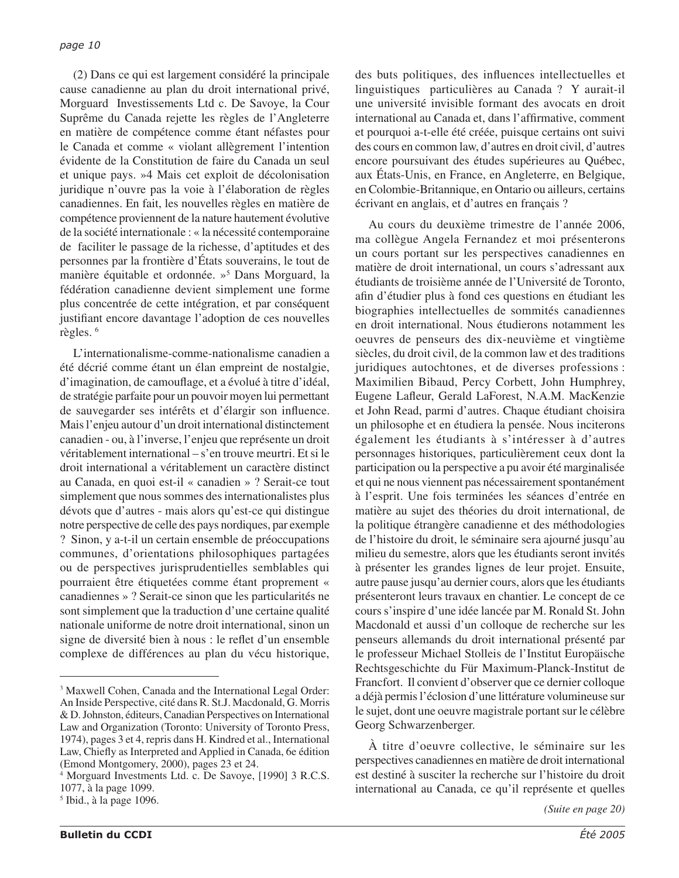(2) Dans ce qui est largement considéré la principale cause canadienne au plan du droit international privé, Morguard Investissements Ltd c. De Savoye, la Cour Suprême du Canada rejette les règles de l'Angleterre en matière de compétence comme étant néfastes pour le Canada et comme « violant allègrement l'intention évidente de la Constitution de faire du Canada un seul et unique pays. »4 Mais cet exploit de décolonisation juridique n'ouvre pas la voie à l'élaboration de règles canadiennes. En fait, les nouvelles règles en matière de compétence proviennent de la nature hautement évolutive de la société internationale : « la nécessité contemporaine de faciliter le passage de la richesse, d'aptitudes et des personnes par la frontière d'États souverains, le tout de manière équitable et ordonnée. »5 Dans Morguard, la fédération canadienne devient simplement une forme plus concentrée de cette intégration, et par conséquent justifiant encore davantage l'adoption de ces nouvelles règles. 6

L'internationalisme-comme-nationalisme canadien a été décrié comme étant un élan empreint de nostalgie, d'imagination, de camouflage, et a évolué à titre d'idéal, de stratégie parfaite pour un pouvoir moyen lui permettant de sauvegarder ses intérêts et d'élargir son influence. Mais l'enjeu autour d'un droit international distinctement canadien - ou, à l'inverse, l'enjeu que représente un droit véritablement international – s'en trouve meurtri. Et si le droit international a véritablement un caractère distinct au Canada, en quoi est-il « canadien » ? Serait-ce tout simplement que nous sommes des internationalistes plus dévots que d'autres - mais alors qu'est-ce qui distingue notre perspective de celle des pays nordiques, par exemple ? Sinon, y a-t-il un certain ensemble de préoccupations communes, d'orientations philosophiques partagées ou de perspectives jurisprudentielles semblables qui pourraient être étiquetées comme étant proprement « canadiennes » ? Serait-ce sinon que les particularités ne sont simplement que la traduction d'une certaine qualité nationale uniforme de notre droit international, sinon un signe de diversité bien à nous : le reflet d'un ensemble complexe de différences au plan du vécu historique,

des buts politiques, des influences intellectuelles et linguistiques particulières au Canada ? Y aurait-il une université invisible formant des avocats en droit international au Canada et, dans l'affirmative, comment et pourquoi a-t-elle été créée, puisque certains ont suivi des cours en common law, d'autres en droit civil, d'autres encore poursuivant des études supérieures au Québec, aux États-Unis, en France, en Angleterre, en Belgique, en Colombie-Britannique, en Ontario ou ailleurs, certains écrivant en anglais, et d'autres en français ?

Au cours du deuxième trimestre de l'année 2006, ma collègue Angela Fernandez et moi présenterons un cours portant sur les perspectives canadiennes en matière de droit international, un cours s'adressant aux étudiants de troisième année de l'Université de Toronto, afin d'étudier plus à fond ces questions en étudiant les biographies intellectuelles de sommités canadiennes en droit international. Nous étudierons notamment les oeuvres de penseurs des dix-neuvième et vingtième siècles, du droit civil, de la common law et des traditions juridiques autochtones, et de diverses professions : Maximilien Bibaud, Percy Corbett, John Humphrey, Eugene Lafleur, Gerald LaForest, N.A.M. MacKenzie et John Read, parmi d'autres. Chaque étudiant choisira un philosophe et en étudiera la pensée. Nous inciterons également les étudiants à s'intéresser à d'autres personnages historiques, particulièrement ceux dont la participation ou la perspective a pu avoir été marginalisée et qui ne nous viennent pas nécessairement spontanément à l'esprit. Une fois terminées les séances d'entrée en matière au sujet des théories du droit international, de la politique étrangère canadienne et des méthodologies de l'histoire du droit, le séminaire sera ajourné jusqu'au milieu du semestre, alors que les étudiants seront invités à présenter les grandes lignes de leur projet. Ensuite, autre pause jusqu'au dernier cours, alors que les étudiants présenteront leurs travaux en chantier. Le concept de ce cours s'inspire d'une idée lancée par M. Ronald St. John Macdonald et aussi d'un colloque de recherche sur les penseurs allemands du droit international présenté par le professeur Michael Stolleis de l'Institut Europäische Rechtsgeschichte du Für Maximum-Planck-Institut de Francfort. Il convient d'observer que ce dernier colloque a déjà permis l'éclosion d'une littérature volumineuse sur le sujet, dont une oeuvre magistrale portant sur le célèbre Georg Schwarzenberger.

À titre d'oeuvre collective, le séminaire sur les perspectives canadiennes en matière de droit international est destiné à susciter la recherche sur l'histoire du droit international au Canada, ce qu'il représente et quelles

<sup>&</sup>lt;sup>3</sup> Maxwell Cohen, Canada and the International Legal Order: An Inside Perspective, cité dans R. St.J. Macdonald, G. Morris & D. Johnston, éditeurs, Canadian Perspectives on International Law and Organization (Toronto: University of Toronto Press, 1974), pages 3 et 4, repris dans H. Kindred et al., International Law, Chiefly as Interpreted and Applied in Canada, 6e édition (Emond Montgomery, 2000), pages 23 et 24.

<sup>4</sup> Morguard Investments Ltd. c. De Savoye, [1990] 3 R.C.S. 1077, à la page 1099.

<sup>5</sup> Ibid., à la page 1096.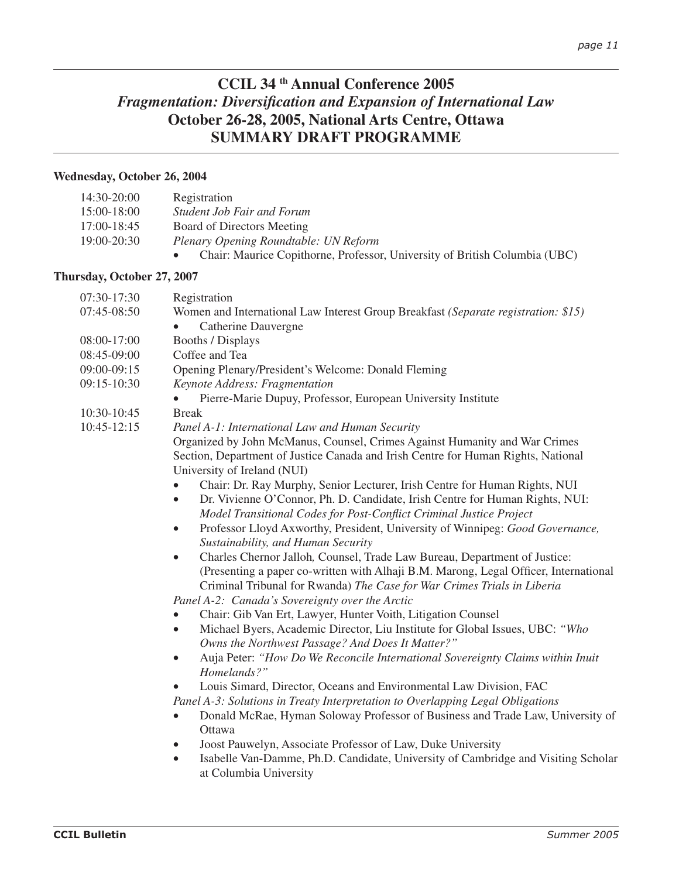# **CCIL 34 th Annual Conference 2005** *Fragmentation: Diversification and Expansion of International Law* **October 26-28, 2005, National Arts Centre, Ottawa SUMMARY DRAFT PROGRAMME**

#### **Wednesday, October 26, 2004**

| 14:30-20:00     | Registration                                                               |
|-----------------|----------------------------------------------------------------------------|
| $15:00-18:00$   | <b>Student Job Fair and Forum</b>                                          |
| $17:00-18:45$   | Board of Directors Meeting                                                 |
| $19:00 - 20:30$ | Plenary Opening Roundtable: UN Reform                                      |
|                 | Chair: Maurice Copithorne, Professor, University of British Columbia (UBC) |

#### **Thursday, October 27, 2007**

| 07:30-17:30     | Registration                                                                                                     |
|-----------------|------------------------------------------------------------------------------------------------------------------|
| 07:45-08:50     | Women and International Law Interest Group Breakfast (Separate registration: \$15)                               |
|                 | Catherine Dauvergne<br>$\bullet$                                                                                 |
| 08:00-17:00     | <b>Booths / Displays</b>                                                                                         |
| 08:45-09:00     | Coffee and Tea                                                                                                   |
| 09:00-09:15     | Opening Plenary/President's Welcome: Donald Fleming                                                              |
| 09:15-10:30     | Keynote Address: Fragmentation                                                                                   |
|                 | Pierre-Marie Dupuy, Professor, European University Institute<br>$\bullet$                                        |
| 10:30-10:45     | <b>Break</b>                                                                                                     |
| $10:45 - 12:15$ | Panel A-1: International Law and Human Security                                                                  |
|                 | Organized by John McManus, Counsel, Crimes Against Humanity and War Crimes                                       |
|                 | Section, Department of Justice Canada and Irish Centre for Human Rights, National<br>University of Ireland (NUI) |
|                 | Chair: Dr. Ray Murphy, Senior Lecturer, Irish Centre for Human Rights, NUI                                       |
|                 | Dr. Vivienne O'Connor, Ph. D. Candidate, Irish Centre for Human Rights, NUI:<br>$\bullet$                        |
|                 | Model Transitional Codes for Post-Conflict Criminal Justice Project                                              |
|                 | Professor Lloyd Axworthy, President, University of Winnipeg: Good Governance,<br>$\bullet$                       |
|                 | Sustainability, and Human Security                                                                               |
|                 | Charles Chernor Jalloh, Counsel, Trade Law Bureau, Department of Justice:<br>$\bullet$                           |
|                 | (Presenting a paper co-written with Alhaji B.M. Marong, Legal Officer, International                             |
|                 | Criminal Tribunal for Rwanda) The Case for War Crimes Trials in Liberia                                          |
|                 | Panel A-2: Canada's Sovereignty over the Arctic                                                                  |
|                 | Chair: Gib Van Ert, Lawyer, Hunter Voith, Litigation Counsel                                                     |
|                 | Michael Byers, Academic Director, Liu Institute for Global Issues, UBC: "Who<br>$\bullet$                        |
|                 | Owns the Northwest Passage? And Does It Matter?"                                                                 |
|                 | Auja Peter: "How Do We Reconcile International Sovereignty Claims within Inuit<br>$\bullet$                      |
|                 | Homelands?"                                                                                                      |
|                 | Louis Simard, Director, Oceans and Environmental Law Division, FAC<br>$\bullet$                                  |
|                 | Panel A-3: Solutions in Treaty Interpretation to Overlapping Legal Obligations                                   |
|                 | Donald McRae, Hyman Soloway Professor of Business and Trade Law, University of                                   |
|                 | Ottawa                                                                                                           |
|                 | Joost Pauwelyn, Associate Professor of Law, Duke University<br>$\bullet$                                         |
|                 | Isabelle Van-Damme, Ph.D. Candidate, University of Cambridge and Visiting Scholar<br>$\bullet$                   |

at Columbia University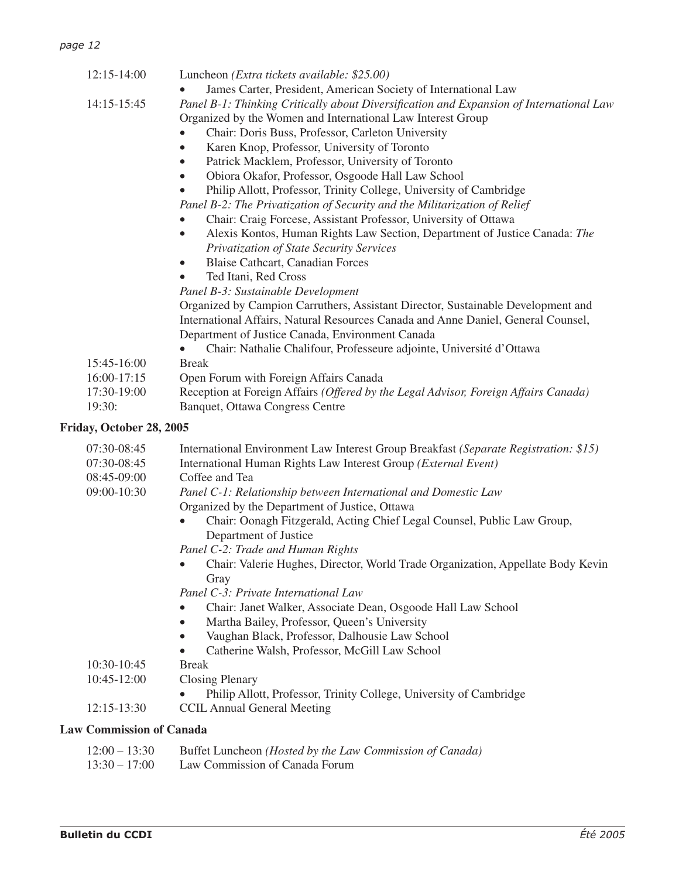| paye 12                  |                                                                                                                                     |
|--------------------------|-------------------------------------------------------------------------------------------------------------------------------------|
| $12:15 - 14:00$          | Luncheon (Extra tickets available: \$25.00)                                                                                         |
|                          | James Carter, President, American Society of International Law                                                                      |
| 14:15-15:45              | Panel B-1: Thinking Critically about Diversification and Expansion of International Law                                             |
|                          | Organized by the Women and International Law Interest Group                                                                         |
|                          | Chair: Doris Buss, Professor, Carleton University                                                                                   |
|                          | Karen Knop, Professor, University of Toronto<br>$\bullet$                                                                           |
|                          | Patrick Macklem, Professor, University of Toronto<br>$\bullet$                                                                      |
|                          | Obiora Okafor, Professor, Osgoode Hall Law School<br>$\bullet$                                                                      |
|                          | Philip Allott, Professor, Trinity College, University of Cambridge<br>$\bullet$                                                     |
|                          | Panel B-2: The Privatization of Security and the Militarization of Relief                                                           |
|                          | Chair: Craig Forcese, Assistant Professor, University of Ottawa<br>$\bullet$                                                        |
|                          | Alexis Kontos, Human Rights Law Section, Department of Justice Canada: The<br>$\bullet$<br>Privatization of State Security Services |
|                          | <b>Blaise Cathcart, Canadian Forces</b><br>$\bullet$                                                                                |
|                          | Ted Itani, Red Cross<br>$\bullet$                                                                                                   |
|                          | Panel B-3: Sustainable Development                                                                                                  |
|                          | Organized by Campion Carruthers, Assistant Director, Sustainable Development and                                                    |
|                          | International Affairs, Natural Resources Canada and Anne Daniel, General Counsel,                                                   |
|                          | Department of Justice Canada, Environment Canada                                                                                    |
|                          | Chair: Nathalie Chalifour, Professeure adjointe, Université d'Ottawa                                                                |
| 15:45-16:00              | <b>Break</b>                                                                                                                        |
| 16:00-17:15              | Open Forum with Foreign Affairs Canada                                                                                              |
| 17:30-19:00              | Reception at Foreign Affairs (Offered by the Legal Advisor, Foreign Affairs Canada)                                                 |
| 19:30:                   | <b>Banquet, Ottawa Congress Centre</b>                                                                                              |
| Friday, October 28, 2005 |                                                                                                                                     |
| 07:30-08:45              | International Environment Law Interest Group Breakfast (Separate Registration: \$15)                                                |
| 07:30-08:45              | International Human Rights Law Interest Group (External Event)                                                                      |
| 08:45-09:00              | Coffee and Tea                                                                                                                      |
| 09:00-10:30              | Panel C-1: Relationship between International and Domestic Law                                                                      |
|                          | Organized by the Department of Justice, Ottawa                                                                                      |
|                          | Chair: Oonagh Fitzgerald, Acting Chief Legal Counsel, Public Law Group,                                                             |
|                          | Department of Justice                                                                                                               |
|                          | Panel C-2: Trade and Human Rights                                                                                                   |
|                          | Chair: Valerie Hughes, Director, World Trade Organization, Appellate Body Kevin                                                     |
|                          | Gray                                                                                                                                |
|                          | Panel C-3: Private International Law                                                                                                |
|                          | Chair: Janet Walker, Associate Dean, Osgoode Hall Law School                                                                        |
|                          | Martha Bailey, Professor, Queen's University<br>$\bullet$                                                                           |
|                          | Vaughan Black, Professor, Dalhousie Law School<br>$\bullet$                                                                         |

- Catherine Walsh, Professor, McGill Law School
- 10:30-10:45 Break
- 10:45-12:00 Closing Plenary
- Philip Allott, Professor, Trinity College, University of Cambridge
- 12:15-13:30 CCIL Annual General Meeting

#### **Law Commission of Canada**

| $12:00 - 13:30$ | Buffet Luncheon (Hosted by the Law Commission of Canada) |
|-----------------|----------------------------------------------------------|
| $13:30 - 17:00$ | Law Commission of Canada Forum                           |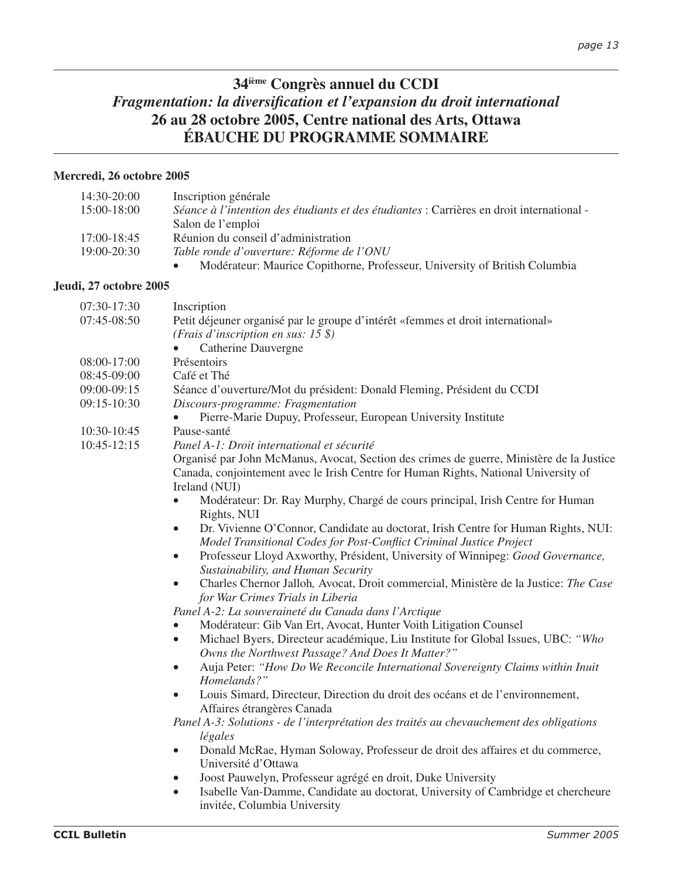# **34ième Congrès annuel du CCDI** *Fragmentation: la diversification et l'expansion du droit international* **26 au 28 octobre 2005, Centre national des Arts, Ottawa ÉBAUCHE DU PROGRAMME SOMMAIRE**

#### **Mercredi, 26 octobre 2005**

| $14:30-20:00$   | Inscription générale                                                                      |
|-----------------|-------------------------------------------------------------------------------------------|
| $15:00-18:00$   | Séance à l'intention des étudiants et des étudiantes : Carrières en droit international - |
|                 | Salon de l'emploi                                                                         |
| $17:00 - 18:45$ | Réunion du conseil d'administration                                                       |
| $19:00 - 20:30$ | Table ronde d'ouverture: Réforme de l'ONU                                                 |
|                 | Modérateur: Maurice Copithorne, Professeur, University of British Columbia<br>$\bullet$   |

#### **Jeudi, 27 octobre 2005**

| 07:30-17:30     | Inscription                                                                                      |
|-----------------|--------------------------------------------------------------------------------------------------|
| 07:45-08:50     | Petit déjeuner organisé par le groupe d'intérêt «femmes et droit international»                  |
|                 | ( <i>Frais d'inscription en sus: 15</i> \$)                                                      |
|                 | <b>Catherine Dauvergne</b><br>$\bullet$                                                          |
| 08:00-17:00     | Présentoirs                                                                                      |
| 08:45-09:00     | Café et Thé                                                                                      |
| 09:00-09:15     | Séance d'ouverture/Mot du président: Donald Fleming, Président du CCDI                           |
| 09:15-10:30     | Discours-programme: Fragmentation                                                                |
|                 | Pierre-Marie Dupuy, Professeur, European University Institute                                    |
| 10:30-10:45     | Pause-santé                                                                                      |
| $10:45 - 12:15$ | Panel A-1: Droit international et sécurité                                                       |
|                 | Organisé par John McManus, Avocat, Section des crimes de guerre, Ministère de la Justice         |
|                 | Canada, conjointement avec le Irish Centre for Human Rights, National University of              |
|                 | Ireland (NUI)                                                                                    |
|                 | Modérateur: Dr. Ray Murphy, Chargé de cours principal, Irish Centre for Human<br>$\bullet$       |
|                 | Rights, NUI                                                                                      |
|                 | Dr. Vivienne O'Connor, Candidate au doctorat, Irish Centre for Human Rights, NUI:<br>$\bullet$   |
|                 | Model Transitional Codes for Post-Conflict Criminal Justice Project                              |
|                 | Professeur Lloyd Axworthy, Président, University of Winnipeg: Good Governance,<br>$\bullet$      |
|                 | Sustainability, and Human Security                                                               |
|                 | Charles Chernor Jalloh, Avocat, Droit commercial, Ministère de la Justice: The Case<br>$\bullet$ |
|                 | for War Crimes Trials in Liberia                                                                 |
|                 | Panel A-2: La souveraineté du Canada dans l'Arctique                                             |
|                 | Modérateur: Gib Van Ert, Avocat, Hunter Voith Litigation Counsel                                 |
|                 | Michael Byers, Directeur académique, Liu Institute for Global Issues, UBC: "Who<br>$\bullet$     |
|                 | Owns the Northwest Passage? And Does It Matter?"                                                 |
|                 | Auja Peter: "How Do We Reconcile International Sovereignty Claims within Inuit<br>$\bullet$      |
|                 | Homelands?"                                                                                      |
|                 | Louis Simard, Directeur, Direction du droit des océans et de l'environnement,<br>$\bullet$       |
|                 | Affaires étrangères Canada                                                                       |
|                 | Panel A-3: Solutions - de l'interprétation des traités au chevauchement des obligations          |
|                 | légales                                                                                          |
|                 | Donald McRae, Hyman Soloway, Professeur de droit des affaires et du commerce,<br>$\bullet$       |
|                 | Université d'Ottawa                                                                              |
|                 | Joost Pauwelyn, Professeur agrégé en droit, Duke University<br>$\bullet$                         |
|                 | Isabelle Van-Damme, Candidate au doctorat, University of Cambridge et chercheure<br>$\bullet$    |

invitée, Columbia University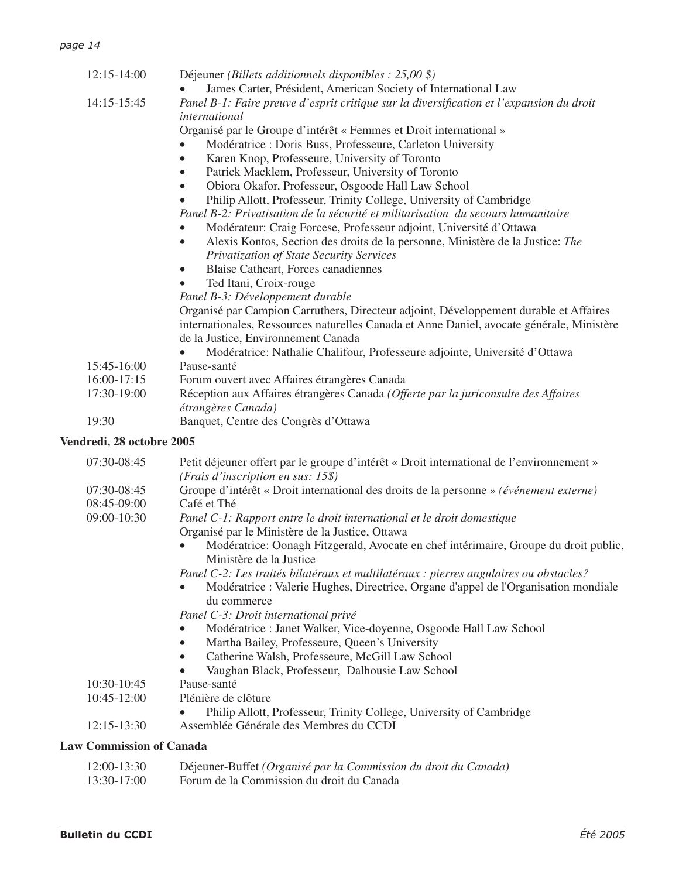| $12:15 - 14:00$ | Déjeuner (Billets additionnels disponibles : $25,00$ \$)                                                  |
|-----------------|-----------------------------------------------------------------------------------------------------------|
|                 | James Carter, Président, American Society of International Law                                            |
| 14:15-15:45     | Panel B-1: Faire preuve d'esprit critique sur la diversification et l'expansion du droit<br>international |
|                 | Organisé par le Groupe d'intérêt « Femmes et Droit international »                                        |
|                 | Modératrice : Doris Buss, Professeure, Carleton University                                                |
|                 | Karen Knop, Professeure, University of Toronto<br>$\bullet$                                               |
|                 | Patrick Macklem, Professeur, University of Toronto                                                        |
|                 | Obiora Okafor, Professeur, Osgoode Hall Law School<br>$\bullet$                                           |
|                 | Philip Allott, Professeur, Trinity College, University of Cambridge<br>$\bullet$                          |
|                 | Panel B-2: Privatisation de la sécurité et militarisation du secours humanitaire                          |
|                 | Modérateur: Craig Forcese, Professeur adjoint, Université d'Ottawa                                        |
|                 | Alexis Kontos, Section des droits de la personne, Ministère de la Justice: The<br>$\bullet$               |
|                 | Privatization of State Security Services                                                                  |
|                 | <b>Blaise Cathcart, Forces canadiennes</b><br>$\bullet$                                                   |
|                 | Ted Itani, Croix-rouge                                                                                    |
|                 | Panel B-3: Développement durable                                                                          |
|                 | Organisé par Campion Carruthers, Directeur adjoint, Développement durable et Affaires                     |
|                 | internationales, Ressources naturelles Canada et Anne Daniel, avocate générale, Ministère                 |
|                 | de la Justice, Environnement Canada                                                                       |
|                 | Modératrice: Nathalie Chalifour, Professeure adjointe, Université d'Ottawa                                |
| 15:45-16:00     | Pause-santé                                                                                               |
| 16:00-17:15     | Forum ouvert avec Affaires étrangères Canada                                                              |
| 17:30-19:00     | Réception aux Affaires étrangères Canada (Offerte par la juriconsulte des Affaires                        |
|                 | étrangères Canada)                                                                                        |
| 19:30           | Banquet, Centre des Congrès d'Ottawa                                                                      |

# **Vendredi, 28 octobre 2005**

| 07:30-08:45     | Petit déjeuner offert par le groupe d'intérêt « Droit international de l'environnement »                        |
|-----------------|-----------------------------------------------------------------------------------------------------------------|
|                 | (Frais d'inscription en sus: 15\$)                                                                              |
| 07:30-08:45     | Groupe d'intérêt « Droit international des droits de la personne » (événement externe)                          |
| 08:45-09:00     | Café et Thé                                                                                                     |
| 09:00-10:30     | Panel C-1: Rapport entre le droit international et le droit domestique                                          |
|                 | Organisé par le Ministère de la Justice, Ottawa                                                                 |
|                 | Modératrice: Oonagh Fitzgerald, Avocate en chef intérimaire, Groupe du droit public,<br>Ministère de la Justice |
|                 | Panel C-2: Les traités bilatéraux et multilatéraux : pierres angulaires ou obstacles?                           |
|                 | Modératrice : Valerie Hughes, Directrice, Organe d'appel de l'Organisation mondiale<br>du commerce              |
|                 | Panel C-3: Droit international privé                                                                            |
|                 | Modératrice : Janet Walker, Vice-doyenne, Osgoode Hall Law School                                               |
|                 | Martha Bailey, Professeure, Queen's University                                                                  |
|                 | Catherine Walsh, Professeure, McGill Law School                                                                 |
|                 | Vaughan Black, Professeur, Dalhousie Law School                                                                 |
| 10:30-10:45     | Pause-santé                                                                                                     |
| $10:45 - 12:00$ | Plénière de clôture                                                                                             |
|                 | Philip Allott, Professeur, Trinity College, University of Cambridge                                             |
| 12:15-13:30     | Assemblée Générale des Membres du CCDI                                                                          |

# **Law Commission of Canada**

| 12:00-13:30   | Déjeuner-Buffet (Organisé par la Commission du droit du Canada) |
|---------------|-----------------------------------------------------------------|
| $13:30-17:00$ | Forum de la Commission du droit du Canada                       |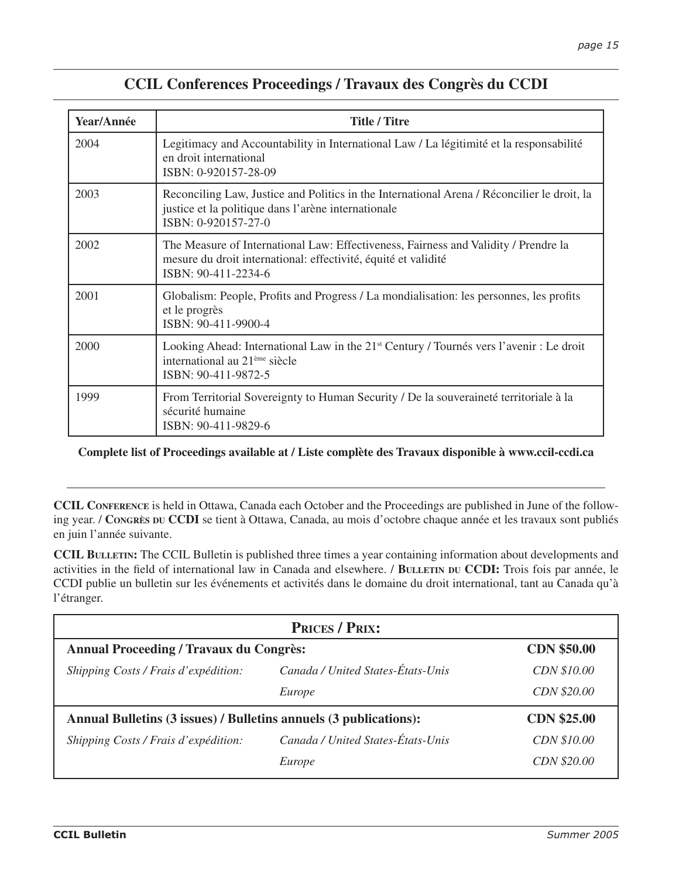| <b>CCIL Conferences Proceedings / Travaux des Congrès du CCDI</b> |  |
|-------------------------------------------------------------------|--|
|-------------------------------------------------------------------|--|

| Year/Année | <b>Title / Titre</b>                                                                                                                                                         |  |
|------------|------------------------------------------------------------------------------------------------------------------------------------------------------------------------------|--|
| 2004       | Legitimacy and Accountability in International Law / La légitimité et la responsabilité<br>en droit international<br>ISBN: 0-920157-28-09                                    |  |
| 2003       | Reconciling Law, Justice and Politics in the International Arena / Réconcilier le droit, la<br>justice et la politique dans l'arène internationale<br>ISBN: 0-920157-27-0    |  |
| 2002       | The Measure of International Law: Effectiveness, Fairness and Validity / Prendre la<br>mesure du droit international: effectivité, équité et validité<br>ISBN: 90-411-2234-6 |  |
| 2001       | Globalism: People, Profits and Progress / La mondialisation: les personnes, les profits<br>et le progrès<br>ISBN: 90-411-9900-4                                              |  |
| 2000       | Looking Ahead: International Law in the 21 <sup>st</sup> Century / Tournés vers l'avenir : Le droit<br>international au 21 <sup>ème</sup> siècle<br>ISBN: 90-411-9872-5      |  |
| 1999       | From Territorial Sovereignty to Human Security / De la souveraineté territoriale à la<br>sécurité humaine<br>ISBN: 90-411-9829-6                                             |  |

**Complete list of Proceedings available at / Liste complète des Travaux disponible à www.ccil-ccdi.ca**

**CCIL CONFERENCE** is held in Ottawa, Canada each October and the Proceedings are published in June of the following year. / **CONGRÈS DU CCDI** se tient à Ottawa, Canada, au mois d'octobre chaque année et les travaux sont publiés en juin l'année suivante.

**CCIL BULLETIN:** The CCIL Bulletin is published three times a year containing information about developments and activities in the field of international law in Canada and elsewhere. / **BULLETIN DU CCDI:** Trois fois par année, le CCDI publie un bulletin sur les événements et activités dans le domaine du droit international, tant au Canada qu'à l'étranger.

| <b>PRICES / PRIX:</b>                                             |                                   |                    |  |
|-------------------------------------------------------------------|-----------------------------------|--------------------|--|
| <b>Annual Proceeding / Travaux du Congrès:</b>                    |                                   | <b>CDN \$50.00</b> |  |
| Shipping Costs / Frais d'expédition:                              | Canada / United States-États-Unis | CDN \$10.00        |  |
|                                                                   | Europe                            | CDN \$20.00        |  |
| Annual Bulletins (3 issues) / Bulletins annuels (3 publications): |                                   | <b>CDN \$25.00</b> |  |
| Shipping Costs / Frais d'expédition:                              | Canada / United States-États-Unis | CDN \$10.00        |  |
|                                                                   | Europe                            | CDN \$20.00        |  |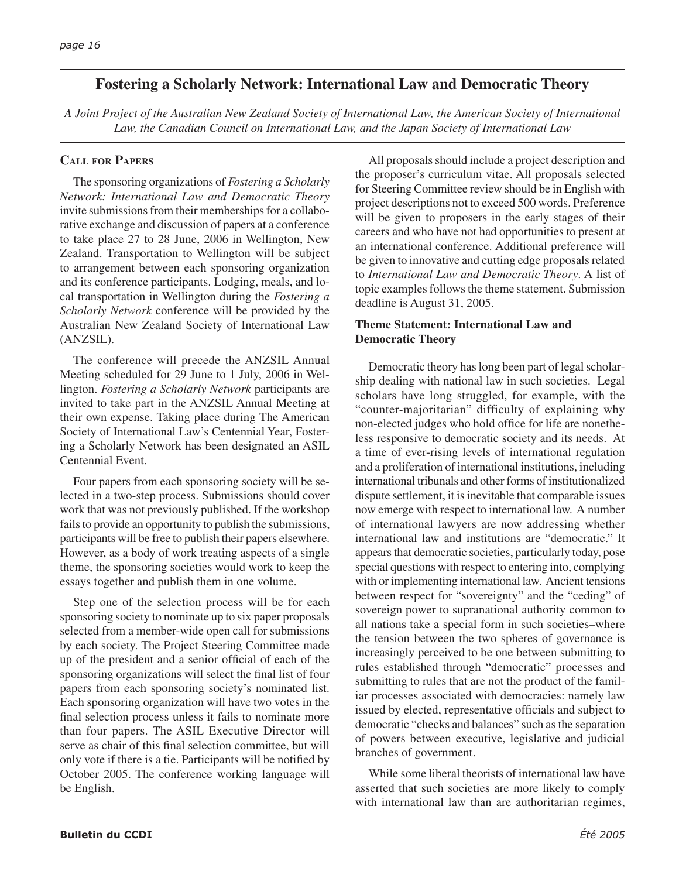# **Fostering a Scholarly Network: International Law and Democratic Theory**

*A Joint Project of the Australian New Zealand Society of International Law, the American Society of International Law, the Canadian Council on International Law, and the Japan Society of International Law*

# **CALL FOR PAPERS**

The sponsoring organizations of *Fostering a Scholarly Network: International Law and Democratic Theory* invite submissions from their memberships for a collaborative exchange and discussion of papers at a conference to take place 27 to 28 June, 2006 in Wellington, New Zealand. Transportation to Wellington will be subject to arrangement between each sponsoring organization and its conference participants. Lodging, meals, and local transportation in Wellington during the *Fostering a Scholarly Network* conference will be provided by the Australian New Zealand Society of International Law (ANZSIL).

The conference will precede the ANZSIL Annual Meeting scheduled for 29 June to 1 July, 2006 in Wellington. *Fostering a Scholarly Network* participants are invited to take part in the ANZSIL Annual Meeting at their own expense. Taking place during The American Society of International Law's Centennial Year, Fostering a Scholarly Network has been designated an ASIL Centennial Event.

Four papers from each sponsoring society will be selected in a two-step process. Submissions should cover work that was not previously published. If the workshop fails to provide an opportunity to publish the submissions, participants will be free to publish their papers elsewhere. However, as a body of work treating aspects of a single theme, the sponsoring societies would work to keep the essays together and publish them in one volume.

Step one of the selection process will be for each sponsoring society to nominate up to six paper proposals selected from a member-wide open call for submissions by each society. The Project Steering Committee made up of the president and a senior official of each of the sponsoring organizations will select the final list of four papers from each sponsoring society's nominated list. Each sponsoring organization will have two votes in the final selection process unless it fails to nominate more than four papers. The ASIL Executive Director will serve as chair of this final selection committee, but will only vote if there is a tie. Participants will be notified by October 2005. The conference working language will be English.

All proposals should include a project description and the proposer's curriculum vitae. All proposals selected for Steering Committee review should be in English with project descriptions not to exceed 500 words. Preference will be given to proposers in the early stages of their careers and who have not had opportunities to present at an international conference. Additional preference will be given to innovative and cutting edge proposals related to *International Law and Democratic Theory*. A list of topic examples follows the theme statement. Submission deadline is August 31, 2005.

## **Theme Statement: International Law and Democratic Theory**

Democratic theory has long been part of legal scholarship dealing with national law in such societies. Legal scholars have long struggled, for example, with the "counter-majoritarian" difficulty of explaining why non-elected judges who hold office for life are nonetheless responsive to democratic society and its needs. At a time of ever-rising levels of international regulation and a proliferation of international institutions, including international tribunals and other forms of institutionalized dispute settlement, it is inevitable that comparable issues now emerge with respect to international law. A number of international lawyers are now addressing whether international law and institutions are "democratic." It appears that democratic societies, particularly today, pose special questions with respect to entering into, complying with or implementing international law. Ancient tensions between respect for "sovereignty" and the "ceding" of sovereign power to supranational authority common to all nations take a special form in such societies–where the tension between the two spheres of governance is increasingly perceived to be one between submitting to rules established through "democratic" processes and submitting to rules that are not the product of the familiar processes associated with democracies: namely law issued by elected, representative officials and subject to democratic "checks and balances" such as the separation of powers between executive, legislative and judicial branches of government.

While some liberal theorists of international law have asserted that such societies are more likely to comply with international law than are authoritarian regimes,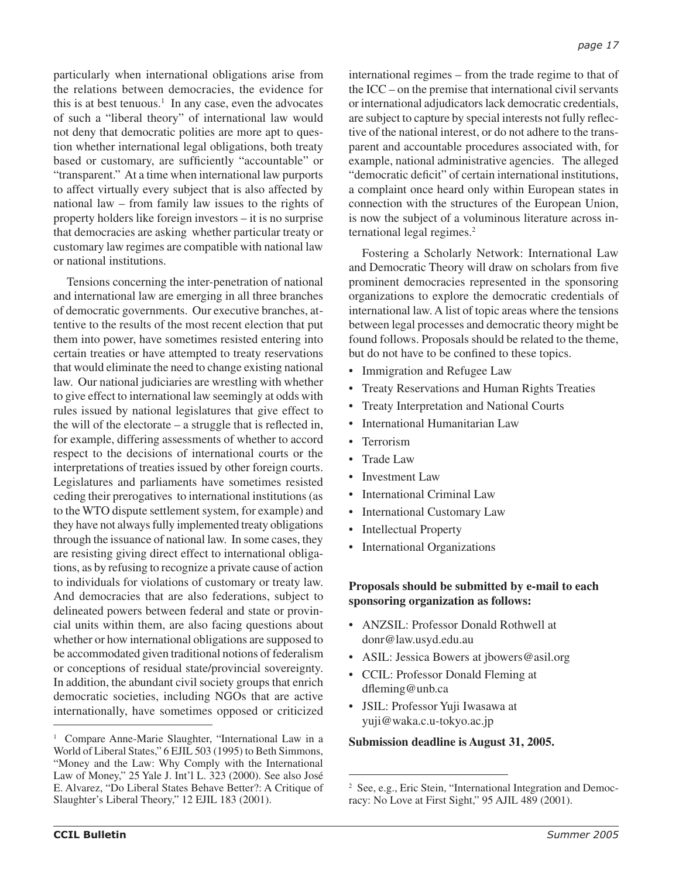particularly when international obligations arise from the relations between democracies, the evidence for this is at best tenuous.<sup>1</sup> In any case, even the advocates of such a "liberal theory" of international law would not deny that democratic polities are more apt to question whether international legal obligations, both treaty based or customary, are sufficiently "accountable" or "transparent." At a time when international law purports to affect virtually every subject that is also affected by national law – from family law issues to the rights of property holders like foreign investors – it is no surprise that democracies are asking whether particular treaty or customary law regimes are compatible with national law or national institutions.

Tensions concerning the inter-penetration of national and international law are emerging in all three branches of democratic governments. Our executive branches, attentive to the results of the most recent election that put them into power, have sometimes resisted entering into certain treaties or have attempted to treaty reservations that would eliminate the need to change existing national law. Our national judiciaries are wrestling with whether to give effect to international law seemingly at odds with rules issued by national legislatures that give effect to the will of the electorate – a struggle that is reflected in, for example, differing assessments of whether to accord respect to the decisions of international courts or the interpretations of treaties issued by other foreign courts. Legislatures and parliaments have sometimes resisted ceding their prerogatives to international institutions (as to the WTO dispute settlement system, for example) and they have not always fully implemented treaty obligations through the issuance of national law. In some cases, they are resisting giving direct effect to international obligations, as by refusing to recognize a private cause of action to individuals for violations of customary or treaty law. And democracies that are also federations, subject to delineated powers between federal and state or provincial units within them, are also facing questions about whether or how international obligations are supposed to be accommodated given traditional notions of federalism or conceptions of residual state/provincial sovereignty. In addition, the abundant civil society groups that enrich democratic societies, including NGOs that are active internationally, have sometimes opposed or criticized

international regimes – from the trade regime to that of the ICC – on the premise that international civil servants or international adjudicators lack democratic credentials, are subject to capture by special interests not fully reflective of the national interest, or do not adhere to the transparent and accountable procedures associated with, for example, national administrative agencies. The alleged "democratic deficit" of certain international institutions, a complaint once heard only within European states in connection with the structures of the European Union, is now the subject of a voluminous literature across international legal regimes.<sup>2</sup>

Fostering a Scholarly Network: International Law and Democratic Theory will draw on scholars from five prominent democracies represented in the sponsoring organizations to explore the democratic credentials of international law. A list of topic areas where the tensions between legal processes and democratic theory might be found follows. Proposals should be related to the theme, but do not have to be confined to these topics.

- Immigration and Refugee Law
- Treaty Reservations and Human Rights Treaties
- Treaty Interpretation and National Courts
- International Humanitarian Law
- Terrorism
- Trade Law
- Investment Law
- International Criminal Law
- International Customary Law
- Intellectual Property
- International Organizations

#### **Proposals should be submitted by e-mail to each sponsoring organization as follows:**

- ANZSIL: Professor Donald Rothwell at donr@law.usyd.edu.au
- ASIL: Jessica Bowers at jbowers@asil.org
- CCIL: Professor Donald Fleming at dfleming@unb.ca
- JSIL: Professor Yuji Iwasawa at yuji@waka.c.u-tokyo.ac.jp

<sup>&</sup>lt;sup>1</sup> Compare Anne-Marie Slaughter, "International Law in a<br> **Submission deadline is August 31, 2005.** World of Liberal States," 6 EJIL 503 (1995) to Beth Simmons, "Money and the Law: Why Comply with the International Law of Money," 25 Yale J. Int'l L. 323 (2000). See also José E. Alvarez, "Do Liberal States Behave Better?: A Critique of Slaughter's Liberal Theory," 12 EJIL 183 (2001).

<sup>2</sup> See, e.g., Eric Stein, "International Integration and Democracy: No Love at First Sight," 95 AJIL 489 (2001).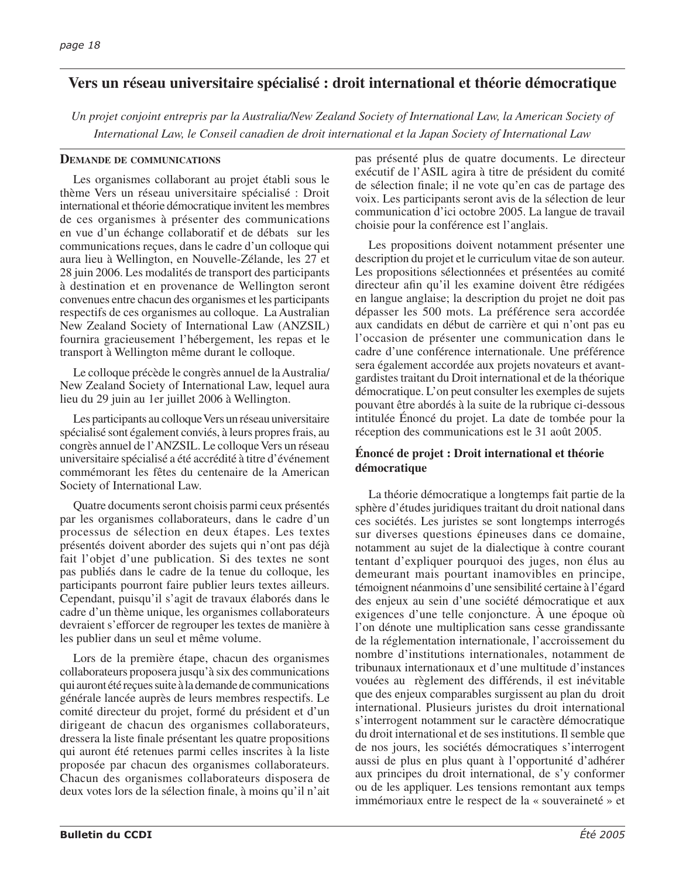# **Vers un réseau universitaire spécialisé : droit international et théorie démocratique**

*Un projet conjoint entrepris par la Australia/New Zealand Society of International Law, la American Society of International Law, le Conseil canadien de droit international et la Japan Society of International Law* 

#### **DEMANDE DE COMMUNICATIONS**

Les organismes collaborant au projet établi sous le thème Vers un réseau universitaire spécialisé : Droit international et théorie démocratique invitent les membres de ces organismes à présenter des communications en vue d'un échange collaboratif et de débats sur les communications reçues, dans le cadre d'un colloque qui aura lieu à Wellington, en Nouvelle-Zélande, les 27 et 28 juin 2006. Les modalités de transport des participants à destination et en provenance de Wellington seront convenues entre chacun des organismes et les participants respectifs de ces organismes au colloque. La Australian New Zealand Society of International Law (ANZSIL) fournira gracieusement l'hébergement, les repas et le transport à Wellington même durant le colloque.

Le colloque précède le congrès annuel de la Australia/ New Zealand Society of International Law, lequel aura lieu du 29 juin au 1er juillet 2006 à Wellington.

Les participants au colloque Vers un réseau universitaire spécialisé sont également conviés, à leurs propres frais, au congrès annuel de l'ANZSIL. Le colloque Vers un réseau universitaire spécialisé a été accrédité à titre d'événement commémorant les fêtes du centenaire de la American Society of International Law.

Quatre documents seront choisis parmi ceux présentés par les organismes collaborateurs, dans le cadre d'un processus de sélection en deux étapes. Les textes présentés doivent aborder des sujets qui n'ont pas déjà fait l'objet d'une publication. Si des textes ne sont pas publiés dans le cadre de la tenue du colloque, les participants pourront faire publier leurs textes ailleurs. Cependant, puisqu'il s'agit de travaux élaborés dans le cadre d'un thème unique, les organismes collaborateurs devraient s'efforcer de regrouper les textes de manière à les publier dans un seul et même volume.

Lors de la première étape, chacun des organismes collaborateurs proposera jusqu'à six des communications qui auront été reçues suite à la demande de communications générale lancée auprès de leurs membres respectifs. Le comité directeur du projet, formé du président et d'un dirigeant de chacun des organismes collaborateurs, dressera la liste finale présentant les quatre propositions qui auront été retenues parmi celles inscrites à la liste proposée par chacun des organismes collaborateurs. Chacun des organismes collaborateurs disposera de deux votes lors de la sélection finale, à moins qu'il n'ait pas présenté plus de quatre documents. Le directeur exécutif de l'ASIL agira à titre de président du comité de sélection finale; il ne vote qu'en cas de partage des voix. Les participants seront avis de la sélection de leur communication d'ici octobre 2005. La langue de travail choisie pour la conférence est l'anglais.

Les propositions doivent notamment présenter une description du projet et le curriculum vitae de son auteur. Les propositions sélectionnées et présentées au comité directeur afin qu'il les examine doivent être rédigées en langue anglaise; la description du projet ne doit pas dépasser les 500 mots. La préférence sera accordée aux candidats en début de carrière et qui n'ont pas eu l'occasion de présenter une communication dans le cadre d'une conférence internationale. Une préférence sera également accordée aux projets novateurs et avantgardistes traitant du Droit international et de la théorique démocratique. L'on peut consulter les exemples de sujets pouvant être abordés à la suite de la rubrique ci-dessous intitulée Énoncé du projet. La date de tombée pour la réception des communications est le 31 août 2005.

#### **Énoncé de projet : Droit international et théorie démocratique**

La théorie démocratique a longtemps fait partie de la sphère d'études juridiques traitant du droit national dans ces sociétés. Les juristes se sont longtemps interrogés sur diverses questions épineuses dans ce domaine, notamment au sujet de la dialectique à contre courant tentant d'expliquer pourquoi des juges, non élus au demeurant mais pourtant inamovibles en principe, témoignent néanmoins d'une sensibilité certaine à l'égard des enjeux au sein d'une société démocratique et aux exigences d'une telle conjoncture. À une époque où l'on dénote une multiplication sans cesse grandissante de la réglementation internationale, l'accroissement du nombre d'institutions internationales, notamment de tribunaux internationaux et d'une multitude d'instances vouées au règlement des différends, il est inévitable que des enjeux comparables surgissent au plan du droit international. Plusieurs juristes du droit international s'interrogent notamment sur le caractère démocratique du droit international et de ses institutions. Il semble que de nos jours, les sociétés démocratiques s'interrogent aussi de plus en plus quant à l'opportunité d'adhérer aux principes du droit international, de s'y conformer ou de les appliquer. Les tensions remontant aux temps immémoriaux entre le respect de la « souveraineté » et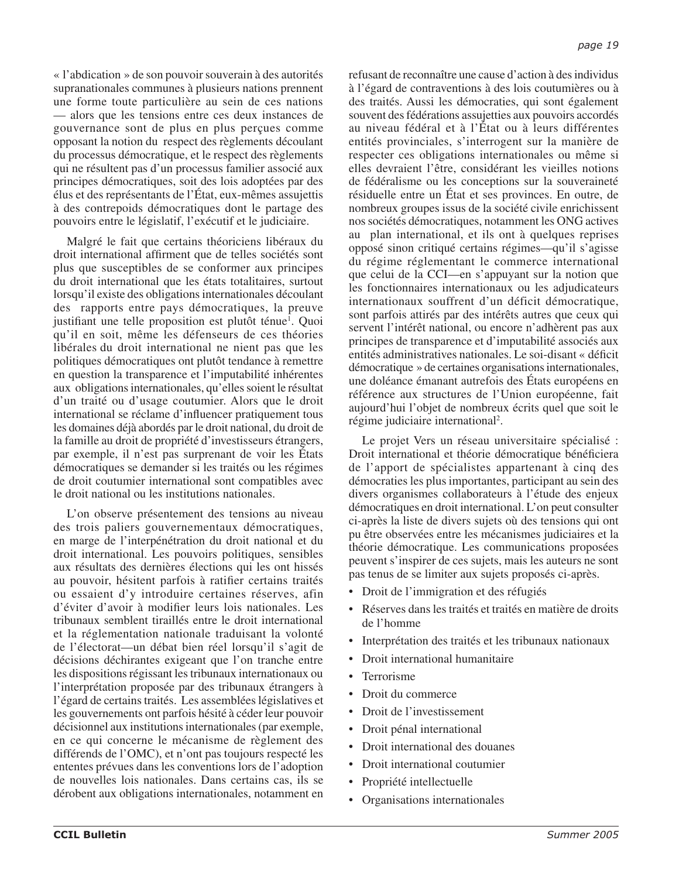« l'abdication » de son pouvoir souverain à des autorités supranationales communes à plusieurs nations prennent une forme toute particulière au sein de ces nations — alors que les tensions entre ces deux instances de gouvernance sont de plus en plus perçues comme opposant la notion du respect des règlements découlant du processus démocratique, et le respect des règlements qui ne résultent pas d'un processus familier associé aux principes démocratiques, soit des lois adoptées par des élus et des représentants de l'État, eux-mêmes assujettis à des contrepoids démocratiques dont le partage des pouvoirs entre le législatif, l'exécutif et le judiciaire.

Malgré le fait que certains théoriciens libéraux du droit international affirment que de telles sociétés sont plus que susceptibles de se conformer aux principes du droit international que les états totalitaires, surtout lorsqu'il existe des obligations internationales découlant des rapports entre pays démocratiques, la preuve justifiant une telle proposition est plutôt ténue<sup>1</sup>. Quoi qu'il en soit, même les défenseurs de ces théories libérales du droit international ne nient pas que les politiques démocratiques ont plutôt tendance à remettre en question la transparence et l'imputabilité inhérentes aux obligations internationales, qu'elles soient le résultat d'un traité ou d'usage coutumier. Alors que le droit international se réclame d'influencer pratiquement tous les domaines déjà abordés par le droit national, du droit de la famille au droit de propriété d'investisseurs étrangers, par exemple, il n'est pas surprenant de voir les États démocratiques se demander si les traités ou les régimes de droit coutumier international sont compatibles avec le droit national ou les institutions nationales.

L'on observe présentement des tensions au niveau des trois paliers gouvernementaux démocratiques, en marge de l'interpénétration du droit national et du droit international. Les pouvoirs politiques, sensibles aux résultats des dernières élections qui les ont hissés au pouvoir, hésitent parfois à ratifier certains traités ou essaient d'y introduire certaines réserves, afin d'éviter d'avoir à modifier leurs lois nationales. Les tribunaux semblent tiraillés entre le droit international et la réglementation nationale traduisant la volonté de l'électorat—un débat bien réel lorsqu'il s'agit de décisions déchirantes exigeant que l'on tranche entre les dispositions régissant les tribunaux internationaux ou l'interprétation proposée par des tribunaux étrangers à l'égard de certains traités. Les assemblées législatives et les gouvernements ont parfois hésité à céder leur pouvoir décisionnel aux institutions internationales (par exemple, en ce qui concerne le mécanisme de règlement des différends de l'OMC), et n'ont pas toujours respecté les ententes prévues dans les conventions lors de l'adoption de nouvelles lois nationales. Dans certains cas, ils se dérobent aux obligations internationales, notamment en refusant de reconnaître une cause d'action à des individus à l'égard de contraventions à des lois coutumières ou à des traités. Aussi les démocraties, qui sont également souvent des fédérations assujetties aux pouvoirs accordés au niveau fédéral et à l'État ou à leurs différentes entités provinciales, s'interrogent sur la manière de respecter ces obligations internationales ou même si elles devraient l'être, considérant les vieilles notions de fédéralisme ou les conceptions sur la souveraineté résiduelle entre un État et ses provinces. En outre, de nombreux groupes issus de la société civile enrichissent nos sociétés démocratiques, notamment les ONG actives au plan international, et ils ont à quelques reprises opposé sinon critiqué certains régimes—qu'il s'agisse du régime réglementant le commerce international que celui de la CCI—en s'appuyant sur la notion que les fonctionnaires internationaux ou les adjudicateurs internationaux souffrent d'un déficit démocratique, sont parfois attirés par des intérêts autres que ceux qui servent l'intérêt national, ou encore n'adhèrent pas aux principes de transparence et d'imputabilité associés aux entités administratives nationales. Le soi-disant « déficit démocratique » de certaines organisations internationales, une doléance émanant autrefois des États européens en référence aux structures de l'Union européenne, fait aujourd'hui l'objet de nombreux écrits quel que soit le régime judiciaire international<sup>2</sup>.

Le projet Vers un réseau universitaire spécialisé : Droit international et théorie démocratique bénéficiera de l'apport de spécialistes appartenant à cinq des démocraties les plus importantes, participant au sein des divers organismes collaborateurs à l'étude des enjeux démocratiques en droit international. L'on peut consulter ci-après la liste de divers sujets où des tensions qui ont pu être observées entre les mécanismes judiciaires et la théorie démocratique. Les communications proposées peuvent s'inspirer de ces sujets, mais les auteurs ne sont pas tenus de se limiter aux sujets proposés ci-après.

- Droit de l'immigration et des réfugiés
- Réserves dans les traités et traités en matière de droits de l'homme
- Interprétation des traités et les tribunaux nationaux
- Droit international humanitaire
- Terrorisme
- Droit du commerce
- Droit de l'investissement
- Droit pénal international
- Droit international des douanes
- Droit international coutumier
- Propriété intellectuelle
- Organisations internationales